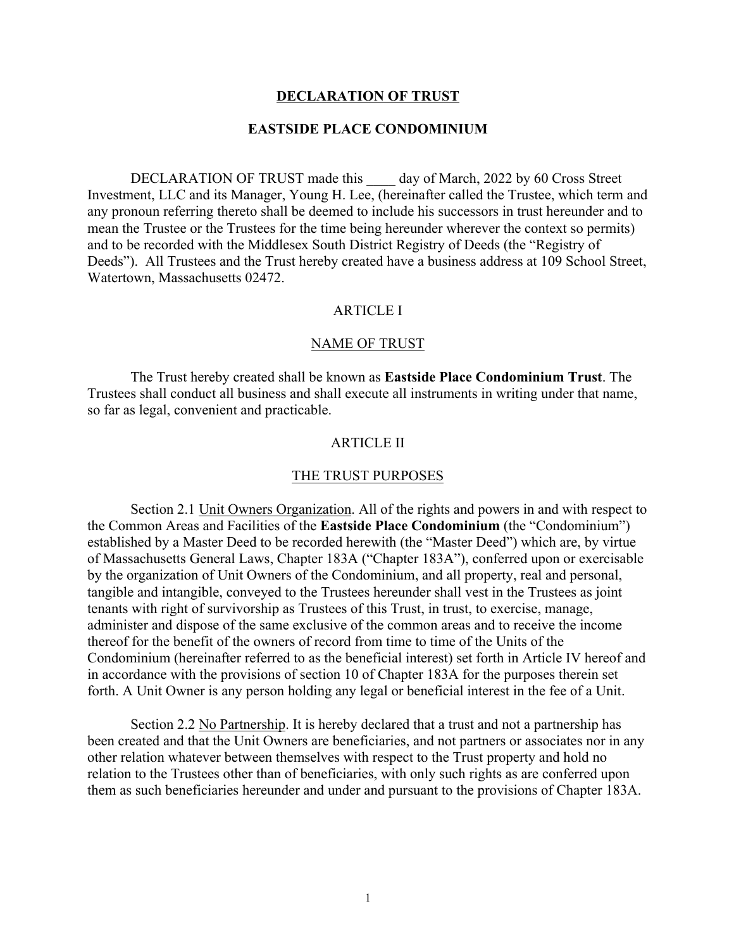### **DECLARATION OF TRUST**

### **EASTSIDE PLACE CONDOMINIUM**

DECLARATION OF TRUST made this day of March, 2022 by 60 Cross Street Investment, LLC and its Manager, Young H. Lee, (hereinafter called the Trustee, which term and any pronoun referring thereto shall be deemed to include his successors in trust hereunder and to mean the Trustee or the Trustees for the time being hereunder wherever the context so permits) and to be recorded with the Middlesex South District Registry of Deeds (the "Registry of Deeds"). All Trustees and the Trust hereby created have a business address at 109 School Street, Watertown, Massachusetts 02472.

# ARTICLE I

#### NAME OF TRUST

The Trust hereby created shall be known as **Eastside Place Condominium Trust**. The Trustees shall conduct all business and shall execute all instruments in writing under that name, so far as legal, convenient and practicable.

### ARTICLE II

#### THE TRUST PURPOSES

Section 2.1 Unit Owners Organization. All of the rights and powers in and with respect to the Common Areas and Facilities of the **Eastside Place Condominium** (the "Condominium") established by a Master Deed to be recorded herewith (the "Master Deed") which are, by virtue of Massachusetts General Laws, Chapter 183A ("Chapter 183A"), conferred upon or exercisable by the organization of Unit Owners of the Condominium, and all property, real and personal, tangible and intangible, conveyed to the Trustees hereunder shall vest in the Trustees as joint tenants with right of survivorship as Trustees of this Trust, in trust, to exercise, manage, administer and dispose of the same exclusive of the common areas and to receive the income thereof for the benefit of the owners of record from time to time of the Units of the Condominium (hereinafter referred to as the beneficial interest) set forth in Article IV hereof and in accordance with the provisions of section 10 of Chapter 183A for the purposes therein set forth. A Unit Owner is any person holding any legal or beneficial interest in the fee of a Unit.

Section 2.2 No Partnership. It is hereby declared that a trust and not a partnership has been created and that the Unit Owners are beneficiaries, and not partners or associates nor in any other relation whatever between themselves with respect to the Trust property and hold no relation to the Trustees other than of beneficiaries, with only such rights as are conferred upon them as such beneficiaries hereunder and under and pursuant to the provisions of Chapter 183A.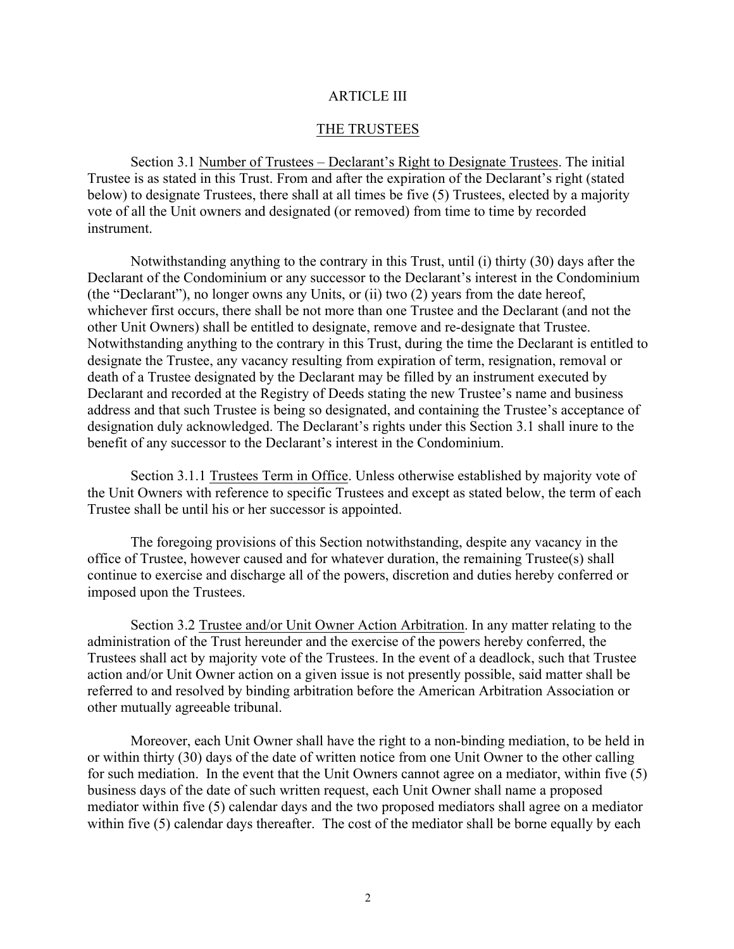### ARTICLE III

### THE TRUSTEES

Section 3.1 Number of Trustees – Declarant's Right to Designate Trustees. The initial Trustee is as stated in this Trust. From and after the expiration of the Declarant's right (stated below) to designate Trustees, there shall at all times be five (5) Trustees, elected by a majority vote of all the Unit owners and designated (or removed) from time to time by recorded instrument.

Notwithstanding anything to the contrary in this Trust, until (i) thirty (30) days after the Declarant of the Condominium or any successor to the Declarant's interest in the Condominium (the "Declarant"), no longer owns any Units, or (ii) two (2) years from the date hereof, whichever first occurs, there shall be not more than one Trustee and the Declarant (and not the other Unit Owners) shall be entitled to designate, remove and re-designate that Trustee. Notwithstanding anything to the contrary in this Trust, during the time the Declarant is entitled to designate the Trustee, any vacancy resulting from expiration of term, resignation, removal or death of a Trustee designated by the Declarant may be filled by an instrument executed by Declarant and recorded at the Registry of Deeds stating the new Trustee's name and business address and that such Trustee is being so designated, and containing the Trustee's acceptance of designation duly acknowledged. The Declarant's rights under this Section 3.1 shall inure to the benefit of any successor to the Declarant's interest in the Condominium.

Section 3.1.1 Trustees Term in Office. Unless otherwise established by majority vote of the Unit Owners with reference to specific Trustees and except as stated below, the term of each Trustee shall be until his or her successor is appointed.

The foregoing provisions of this Section notwithstanding, despite any vacancy in the office of Trustee, however caused and for whatever duration, the remaining Trustee(s) shall continue to exercise and discharge all of the powers, discretion and duties hereby conferred or imposed upon the Trustees.

Section 3.2 Trustee and/or Unit Owner Action Arbitration. In any matter relating to the administration of the Trust hereunder and the exercise of the powers hereby conferred, the Trustees shall act by majority vote of the Trustees. In the event of a deadlock, such that Trustee action and/or Unit Owner action on a given issue is not presently possible, said matter shall be referred to and resolved by binding arbitration before the American Arbitration Association or other mutually agreeable tribunal.

Moreover, each Unit Owner shall have the right to a non-binding mediation, to be held in or within thirty (30) days of the date of written notice from one Unit Owner to the other calling for such mediation. In the event that the Unit Owners cannot agree on a mediator, within five (5) business days of the date of such written request, each Unit Owner shall name a proposed mediator within five (5) calendar days and the two proposed mediators shall agree on a mediator within five (5) calendar days thereafter. The cost of the mediator shall be borne equally by each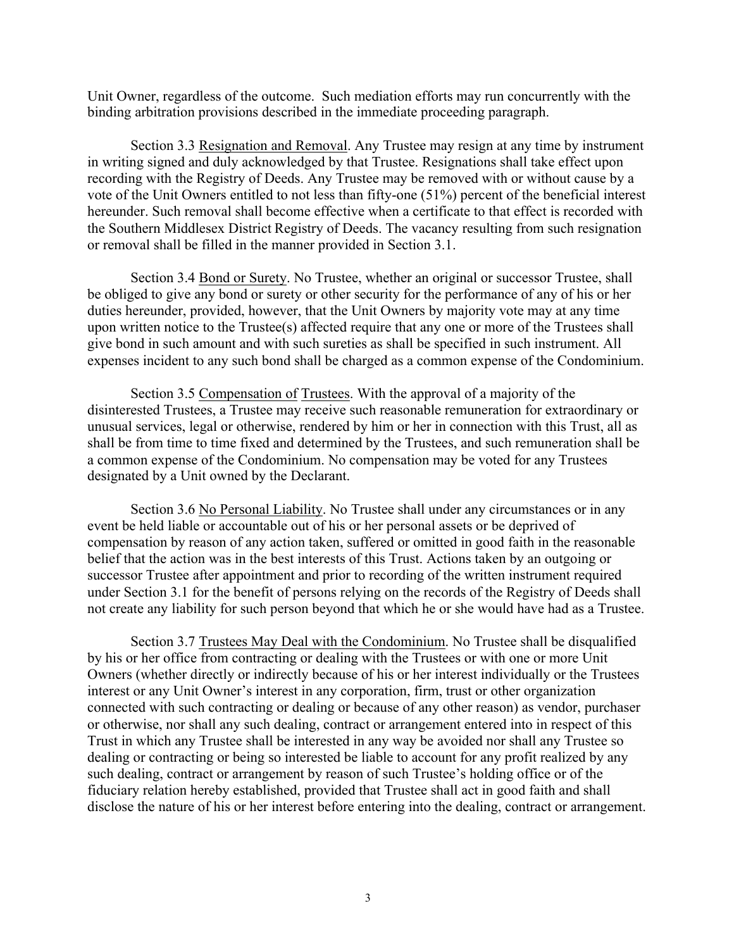Unit Owner, regardless of the outcome. Such mediation efforts may run concurrently with the binding arbitration provisions described in the immediate proceeding paragraph.

Section 3.3 Resignation and Removal. Any Trustee may resign at any time by instrument in writing signed and duly acknowledged by that Trustee. Resignations shall take effect upon recording with the Registry of Deeds. Any Trustee may be removed with or without cause by a vote of the Unit Owners entitled to not less than fifty-one (51%) percent of the beneficial interest hereunder. Such removal shall become effective when a certificate to that effect is recorded with the Southern Middlesex District Registry of Deeds. The vacancy resulting from such resignation or removal shall be filled in the manner provided in Section 3.1.

Section 3.4 Bond or Surety. No Trustee, whether an original or successor Trustee, shall be obliged to give any bond or surety or other security for the performance of any of his or her duties hereunder, provided, however, that the Unit Owners by majority vote may at any time upon written notice to the Trustee(s) affected require that any one or more of the Trustees shall give bond in such amount and with such sureties as shall be specified in such instrument. All expenses incident to any such bond shall be charged as a common expense of the Condominium.

Section 3.5 Compensation of Trustees. With the approval of a majority of the disinterested Trustees, a Trustee may receive such reasonable remuneration for extraordinary or unusual services, legal or otherwise, rendered by him or her in connection with this Trust, all as shall be from time to time fixed and determined by the Trustees, and such remuneration shall be a common expense of the Condominium. No compensation may be voted for any Trustees designated by a Unit owned by the Declarant.

Section 3.6 No Personal Liability. No Trustee shall under any circumstances or in any event be held liable or accountable out of his or her personal assets or be deprived of compensation by reason of any action taken, suffered or omitted in good faith in the reasonable belief that the action was in the best interests of this Trust. Actions taken by an outgoing or successor Trustee after appointment and prior to recording of the written instrument required under Section 3.1 for the benefit of persons relying on the records of the Registry of Deeds shall not create any liability for such person beyond that which he or she would have had as a Trustee.

Section 3.7 Trustees May Deal with the Condominium. No Trustee shall be disqualified by his or her office from contracting or dealing with the Trustees or with one or more Unit Owners (whether directly or indirectly because of his or her interest individually or the Trustees interest or any Unit Owner's interest in any corporation, firm, trust or other organization connected with such contracting or dealing or because of any other reason) as vendor, purchaser or otherwise, nor shall any such dealing, contract or arrangement entered into in respect of this Trust in which any Trustee shall be interested in any way be avoided nor shall any Trustee so dealing or contracting or being so interested be liable to account for any profit realized by any such dealing, contract or arrangement by reason of such Trustee's holding office or of the fiduciary relation hereby established, provided that Trustee shall act in good faith and shall disclose the nature of his or her interest before entering into the dealing, contract or arrangement.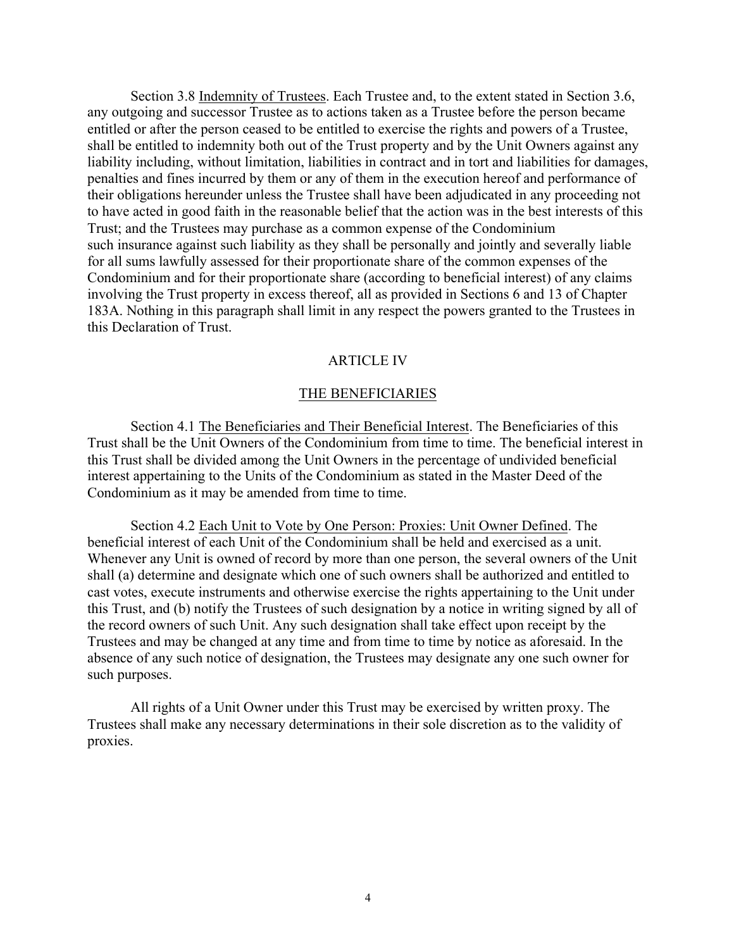Section 3.8 Indemnity of Trustees. Each Trustee and, to the extent stated in Section 3.6, any outgoing and successor Trustee as to actions taken as a Trustee before the person became entitled or after the person ceased to be entitled to exercise the rights and powers of a Trustee, shall be entitled to indemnity both out of the Trust property and by the Unit Owners against any liability including, without limitation, liabilities in contract and in tort and liabilities for damages, penalties and fines incurred by them or any of them in the execution hereof and performance of their obligations hereunder unless the Trustee shall have been adjudicated in any proceeding not to have acted in good faith in the reasonable belief that the action was in the best interests of this Trust; and the Trustees may purchase as a common expense of the Condominium such insurance against such liability as they shall be personally and jointly and severally liable for all sums lawfully assessed for their proportionate share of the common expenses of the Condominium and for their proportionate share (according to beneficial interest) of any claims involving the Trust property in excess thereof, all as provided in Sections 6 and 13 of Chapter 183A. Nothing in this paragraph shall limit in any respect the powers granted to the Trustees in this Declaration of Trust.

### ARTICLE IV

#### THE BENEFICIARIES

Section 4.1 The Beneficiaries and Their Beneficial Interest. The Beneficiaries of this Trust shall be the Unit Owners of the Condominium from time to time. The beneficial interest in this Trust shall be divided among the Unit Owners in the percentage of undivided beneficial interest appertaining to the Units of the Condominium as stated in the Master Deed of the Condominium as it may be amended from time to time.

Section 4.2 Each Unit to Vote by One Person: Proxies: Unit Owner Defined. The beneficial interest of each Unit of the Condominium shall be held and exercised as a unit. Whenever any Unit is owned of record by more than one person, the several owners of the Unit shall (a) determine and designate which one of such owners shall be authorized and entitled to cast votes, execute instruments and otherwise exercise the rights appertaining to the Unit under this Trust, and (b) notify the Trustees of such designation by a notice in writing signed by all of the record owners of such Unit. Any such designation shall take effect upon receipt by the Trustees and may be changed at any time and from time to time by notice as aforesaid. In the absence of any such notice of designation, the Trustees may designate any one such owner for such purposes.

All rights of a Unit Owner under this Trust may be exercised by written proxy. The Trustees shall make any necessary determinations in their sole discretion as to the validity of proxies.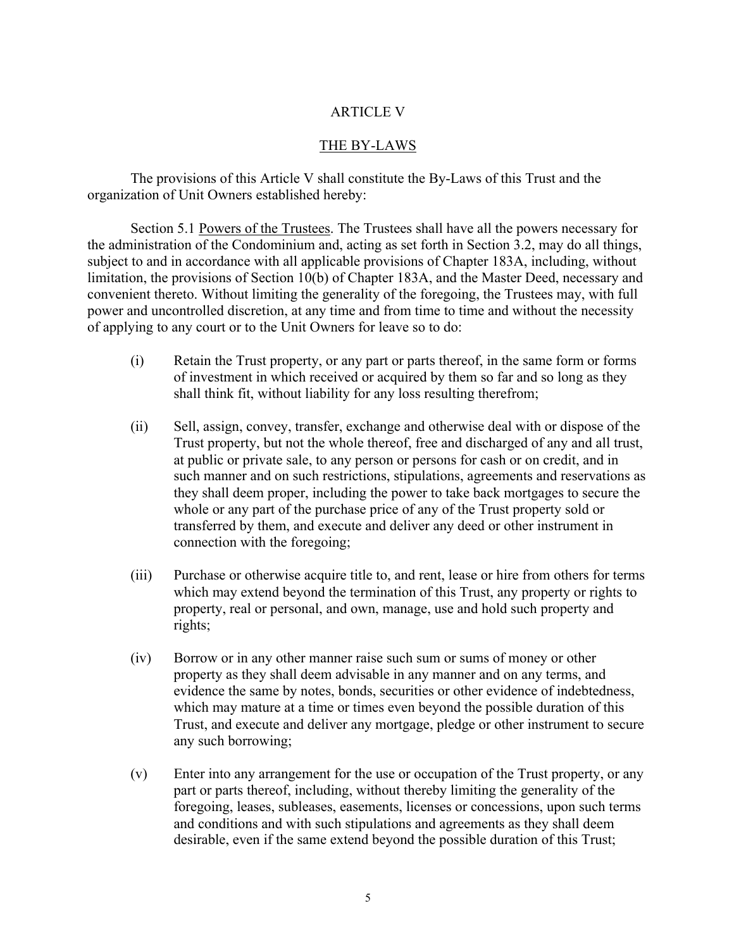# ARTICLE V

# THE BY-LAWS

The provisions of this Article V shall constitute the By-Laws of this Trust and the organization of Unit Owners established hereby:

Section 5.1 Powers of the Trustees. The Trustees shall have all the powers necessary for the administration of the Condominium and, acting as set forth in Section 3.2, may do all things, subject to and in accordance with all applicable provisions of Chapter 183A, including, without limitation, the provisions of Section 10(b) of Chapter 183A, and the Master Deed, necessary and convenient thereto. Without limiting the generality of the foregoing, the Trustees may, with full power and uncontrolled discretion, at any time and from time to time and without the necessity of applying to any court or to the Unit Owners for leave so to do:

- (i) Retain the Trust property, or any part or parts thereof, in the same form or forms of investment in which received or acquired by them so far and so long as they shall think fit, without liability for any loss resulting therefrom;
- (ii) Sell, assign, convey, transfer, exchange and otherwise deal with or dispose of the Trust property, but not the whole thereof, free and discharged of any and all trust, at public or private sale, to any person or persons for cash or on credit, and in such manner and on such restrictions, stipulations, agreements and reservations as they shall deem proper, including the power to take back mortgages to secure the whole or any part of the purchase price of any of the Trust property sold or transferred by them, and execute and deliver any deed or other instrument in connection with the foregoing;
- (iii) Purchase or otherwise acquire title to, and rent, lease or hire from others for terms which may extend beyond the termination of this Trust, any property or rights to property, real or personal, and own, manage, use and hold such property and rights;
- (iv) Borrow or in any other manner raise such sum or sums of money or other property as they shall deem advisable in any manner and on any terms, and evidence the same by notes, bonds, securities or other evidence of indebtedness, which may mature at a time or times even beyond the possible duration of this Trust, and execute and deliver any mortgage, pledge or other instrument to secure any such borrowing;
- (v) Enter into any arrangement for the use or occupation of the Trust property, or any part or parts thereof, including, without thereby limiting the generality of the foregoing, leases, subleases, easements, licenses or concessions, upon such terms and conditions and with such stipulations and agreements as they shall deem desirable, even if the same extend beyond the possible duration of this Trust;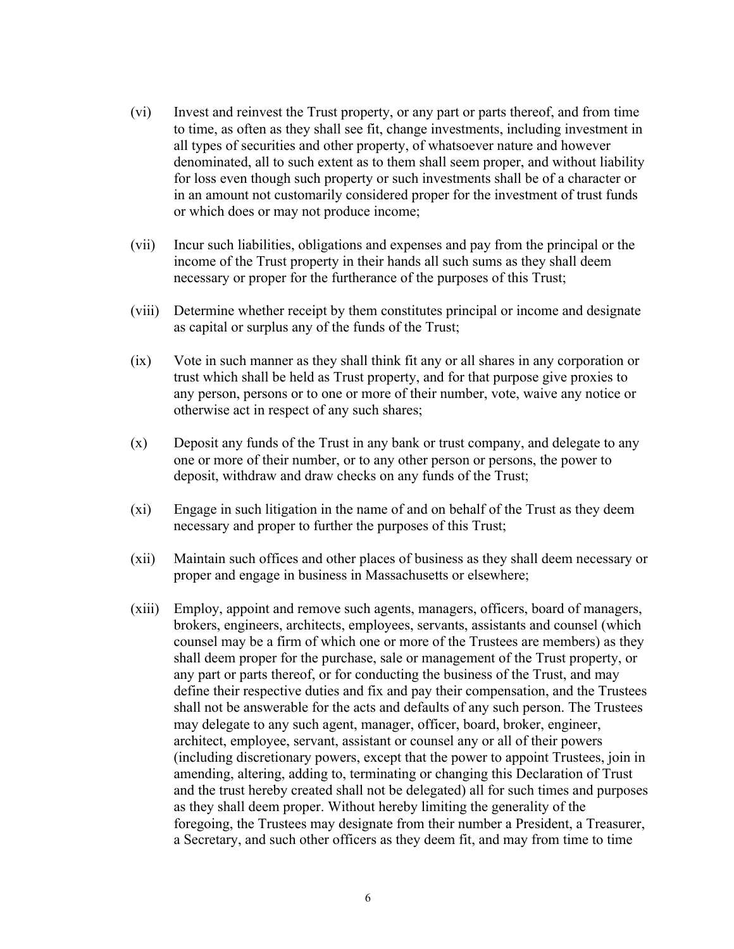- (vi) Invest and reinvest the Trust property, or any part or parts thereof, and from time to time, as often as they shall see fit, change investments, including investment in all types of securities and other property, of whatsoever nature and however denominated, all to such extent as to them shall seem proper, and without liability for loss even though such property or such investments shall be of a character or in an amount not customarily considered proper for the investment of trust funds or which does or may not produce income;
- (vii) Incur such liabilities, obligations and expenses and pay from the principal or the income of the Trust property in their hands all such sums as they shall deem necessary or proper for the furtherance of the purposes of this Trust;
- (viii) Determine whether receipt by them constitutes principal or income and designate as capital or surplus any of the funds of the Trust;
- (ix) Vote in such manner as they shall think fit any or all shares in any corporation or trust which shall be held as Trust property, and for that purpose give proxies to any person, persons or to one or more of their number, vote, waive any notice or otherwise act in respect of any such shares;
- (x) Deposit any funds of the Trust in any bank or trust company, and delegate to any one or more of their number, or to any other person or persons, the power to deposit, withdraw and draw checks on any funds of the Trust;
- (xi) Engage in such litigation in the name of and on behalf of the Trust as they deem necessary and proper to further the purposes of this Trust;
- (xii) Maintain such offices and other places of business as they shall deem necessary or proper and engage in business in Massachusetts or elsewhere;
- (xiii) Employ, appoint and remove such agents, managers, officers, board of managers, brokers, engineers, architects, employees, servants, assistants and counsel (which counsel may be a firm of which one or more of the Trustees are members) as they shall deem proper for the purchase, sale or management of the Trust property, or any part or parts thereof, or for conducting the business of the Trust, and may define their respective duties and fix and pay their compensation, and the Trustees shall not be answerable for the acts and defaults of any such person. The Trustees may delegate to any such agent, manager, officer, board, broker, engineer, architect, employee, servant, assistant or counsel any or all of their powers (including discretionary powers, except that the power to appoint Trustees, join in amending, altering, adding to, terminating or changing this Declaration of Trust and the trust hereby created shall not be delegated) all for such times and purposes as they shall deem proper. Without hereby limiting the generality of the foregoing, the Trustees may designate from their number a President, a Treasurer, a Secretary, and such other officers as they deem fit, and may from time to time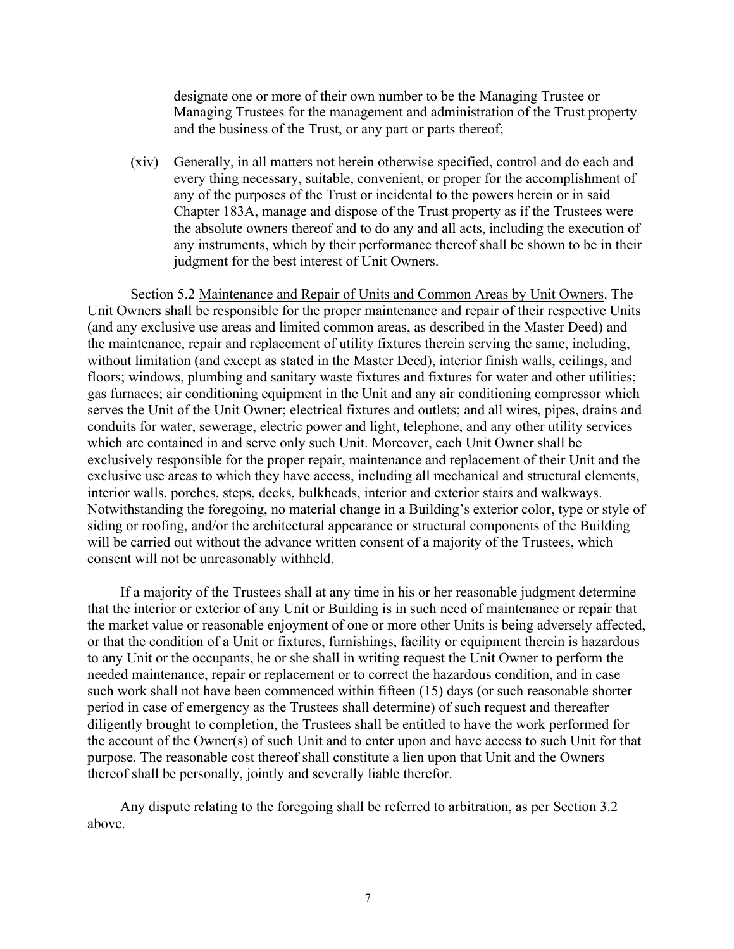designate one or more of their own number to be the Managing Trustee or Managing Trustees for the management and administration of the Trust property and the business of the Trust, or any part or parts thereof;

(xiv) Generally, in all matters not herein otherwise specified, control and do each and every thing necessary, suitable, convenient, or proper for the accomplishment of any of the purposes of the Trust or incidental to the powers herein or in said Chapter 183A, manage and dispose of the Trust property as if the Trustees were the absolute owners thereof and to do any and all acts, including the execution of any instruments, which by their performance thereof shall be shown to be in their judgment for the best interest of Unit Owners.

Section 5.2 Maintenance and Repair of Units and Common Areas by Unit Owners. The Unit Owners shall be responsible for the proper maintenance and repair of their respective Units (and any exclusive use areas and limited common areas, as described in the Master Deed) and the maintenance, repair and replacement of utility fixtures therein serving the same, including, without limitation (and except as stated in the Master Deed), interior finish walls, ceilings, and floors; windows, plumbing and sanitary waste fixtures and fixtures for water and other utilities; gas furnaces; air conditioning equipment in the Unit and any air conditioning compressor which serves the Unit of the Unit Owner; electrical fixtures and outlets; and all wires, pipes, drains and conduits for water, sewerage, electric power and light, telephone, and any other utility services which are contained in and serve only such Unit. Moreover, each Unit Owner shall be exclusively responsible for the proper repair, maintenance and replacement of their Unit and the exclusive use areas to which they have access, including all mechanical and structural elements, interior walls, porches, steps, decks, bulkheads, interior and exterior stairs and walkways. Notwithstanding the foregoing, no material change in a Building's exterior color, type or style of siding or roofing, and/or the architectural appearance or structural components of the Building will be carried out without the advance written consent of a majority of the Trustees, which consent will not be unreasonably withheld.

If a majority of the Trustees shall at any time in his or her reasonable judgment determine that the interior or exterior of any Unit or Building is in such need of maintenance or repair that the market value or reasonable enjoyment of one or more other Units is being adversely affected, or that the condition of a Unit or fixtures, furnishings, facility or equipment therein is hazardous to any Unit or the occupants, he or she shall in writing request the Unit Owner to perform the needed maintenance, repair or replacement or to correct the hazardous condition, and in case such work shall not have been commenced within fifteen (15) days (or such reasonable shorter period in case of emergency as the Trustees shall determine) of such request and thereafter diligently brought to completion, the Trustees shall be entitled to have the work performed for the account of the Owner(s) of such Unit and to enter upon and have access to such Unit for that purpose. The reasonable cost thereof shall constitute a lien upon that Unit and the Owners thereof shall be personally, jointly and severally liable therefor.

Any dispute relating to the foregoing shall be referred to arbitration, as per Section 3.2 above.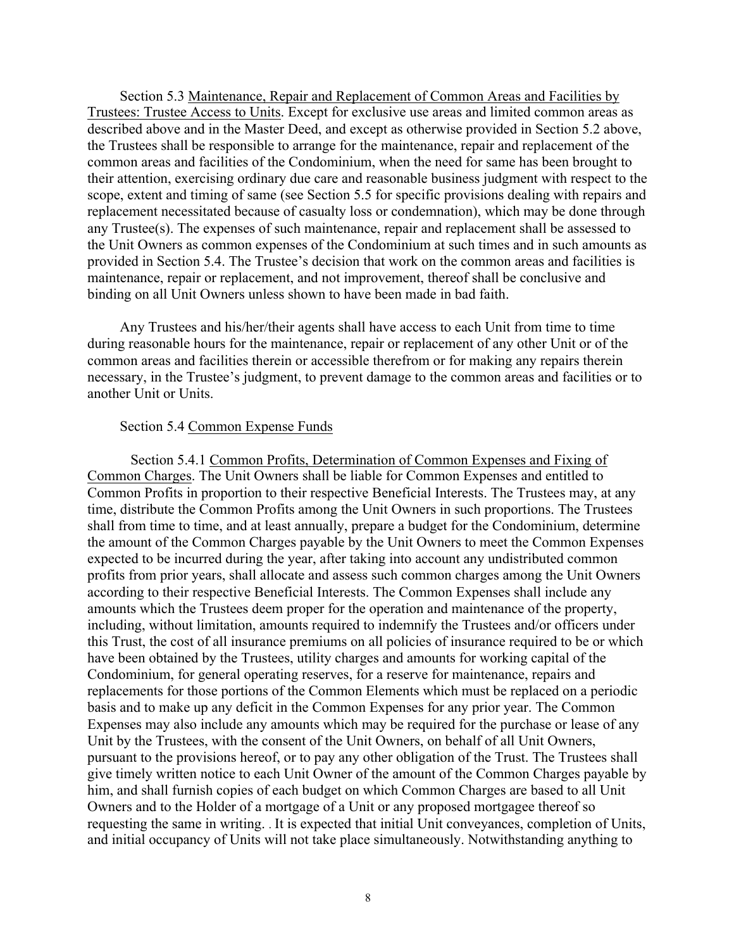Section 5.3 Maintenance, Repair and Replacement of Common Areas and Facilities by Trustees: Trustee Access to Units. Except for exclusive use areas and limited common areas as described above and in the Master Deed, and except as otherwise provided in Section 5.2 above, the Trustees shall be responsible to arrange for the maintenance, repair and replacement of the common areas and facilities of the Condominium, when the need for same has been brought to their attention, exercising ordinary due care and reasonable business judgment with respect to the scope, extent and timing of same (see Section 5.5 for specific provisions dealing with repairs and replacement necessitated because of casualty loss or condemnation), which may be done through any Trustee(s). The expenses of such maintenance, repair and replacement shall be assessed to the Unit Owners as common expenses of the Condominium at such times and in such amounts as provided in Section 5.4. The Trustee's decision that work on the common areas and facilities is maintenance, repair or replacement, and not improvement, thereof shall be conclusive and binding on all Unit Owners unless shown to have been made in bad faith.

Any Trustees and his/her/their agents shall have access to each Unit from time to time during reasonable hours for the maintenance, repair or replacement of any other Unit or of the common areas and facilities therein or accessible therefrom or for making any repairs therein necessary, in the Trustee's judgment, to prevent damage to the common areas and facilities or to another Unit or Units.

#### Section 5.4 Common Expense Funds

Section 5.4.1 Common Profits, Determination of Common Expenses and Fixing of Common Charges. The Unit Owners shall be liable for Common Expenses and entitled to Common Profits in proportion to their respective Beneficial Interests. The Trustees may, at any time, distribute the Common Profits among the Unit Owners in such proportions. The Trustees shall from time to time, and at least annually, prepare a budget for the Condominium, determine the amount of the Common Charges payable by the Unit Owners to meet the Common Expenses expected to be incurred during the year, after taking into account any undistributed common profits from prior years, shall allocate and assess such common charges among the Unit Owners according to their respective Beneficial Interests. The Common Expenses shall include any amounts which the Trustees deem proper for the operation and maintenance of the property, including, without limitation, amounts required to indemnify the Trustees and/or officers under this Trust, the cost of all insurance premiums on all policies of insurance required to be or which have been obtained by the Trustees, utility charges and amounts for working capital of the Condominium, for general operating reserves, for a reserve for maintenance, repairs and replacements for those portions of the Common Elements which must be replaced on a periodic basis and to make up any deficit in the Common Expenses for any prior year. The Common Expenses may also include any amounts which may be required for the purchase or lease of any Unit by the Trustees, with the consent of the Unit Owners, on behalf of all Unit Owners, pursuant to the provisions hereof, or to pay any other obligation of the Trust. The Trustees shall give timely written notice to each Unit Owner of the amount of the Common Charges payable by him, and shall furnish copies of each budget on which Common Charges are based to all Unit Owners and to the Holder of a mortgage of a Unit or any proposed mortgagee thereof so requesting the same in writing. . It is expected that initial Unit conveyances, completion of Units, and initial occupancy of Units will not take place simultaneously. Notwithstanding anything to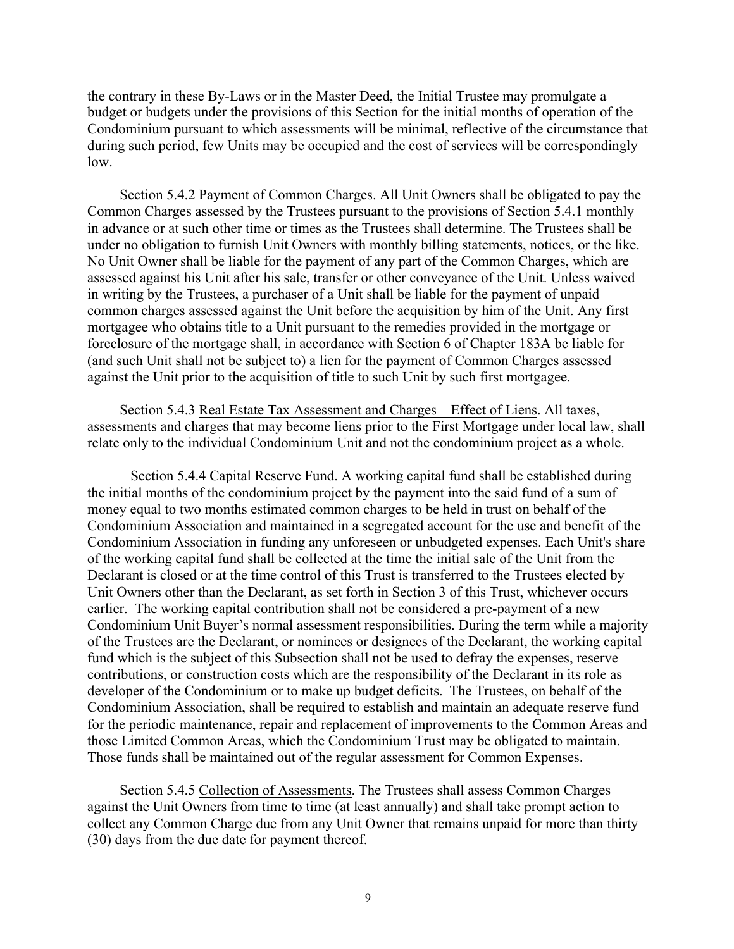the contrary in these By-Laws or in the Master Deed, the Initial Trustee may promulgate a budget or budgets under the provisions of this Section for the initial months of operation of the Condominium pursuant to which assessments will be minimal, reflective of the circumstance that during such period, few Units may be occupied and the cost of services will be correspondingly low.

Section 5.4.2 Payment of Common Charges. All Unit Owners shall be obligated to pay the Common Charges assessed by the Trustees pursuant to the provisions of Section 5.4.1 monthly in advance or at such other time or times as the Trustees shall determine. The Trustees shall be under no obligation to furnish Unit Owners with monthly billing statements, notices, or the like. No Unit Owner shall be liable for the payment of any part of the Common Charges, which are assessed against his Unit after his sale, transfer or other conveyance of the Unit. Unless waived in writing by the Trustees, a purchaser of a Unit shall be liable for the payment of unpaid common charges assessed against the Unit before the acquisition by him of the Unit. Any first mortgagee who obtains title to a Unit pursuant to the remedies provided in the mortgage or foreclosure of the mortgage shall, in accordance with Section 6 of Chapter 183A be liable for (and such Unit shall not be subject to) a lien for the payment of Common Charges assessed against the Unit prior to the acquisition of title to such Unit by such first mortgagee.

Section 5.4.3 Real Estate Tax Assessment and Charges—Effect of Liens. All taxes, assessments and charges that may become liens prior to the First Mortgage under local law, shall relate only to the individual Condominium Unit and not the condominium project as a whole.

Section 5.4.4 Capital Reserve Fund. A working capital fund shall be established during the initial months of the condominium project by the payment into the said fund of a sum of money equal to two months estimated common charges to be held in trust on behalf of the Condominium Association and maintained in a segregated account for the use and benefit of the Condominium Association in funding any unforeseen or unbudgeted expenses. Each Unit's share of the working capital fund shall be collected at the time the initial sale of the Unit from the Declarant is closed or at the time control of this Trust is transferred to the Trustees elected by Unit Owners other than the Declarant, as set forth in Section 3 of this Trust, whichever occurs earlier. The working capital contribution shall not be considered a pre-payment of a new Condominium Unit Buyer's normal assessment responsibilities. During the term while a majority of the Trustees are the Declarant, or nominees or designees of the Declarant, the working capital fund which is the subject of this Subsection shall not be used to defray the expenses, reserve contributions, or construction costs which are the responsibility of the Declarant in its role as developer of the Condominium or to make up budget deficits. The Trustees, on behalf of the Condominium Association, shall be required to establish and maintain an adequate reserve fund for the periodic maintenance, repair and replacement of improvements to the Common Areas and those Limited Common Areas, which the Condominium Trust may be obligated to maintain. Those funds shall be maintained out of the regular assessment for Common Expenses.

Section 5.4.5 Collection of Assessments. The Trustees shall assess Common Charges against the Unit Owners from time to time (at least annually) and shall take prompt action to collect any Common Charge due from any Unit Owner that remains unpaid for more than thirty (30) days from the due date for payment thereof.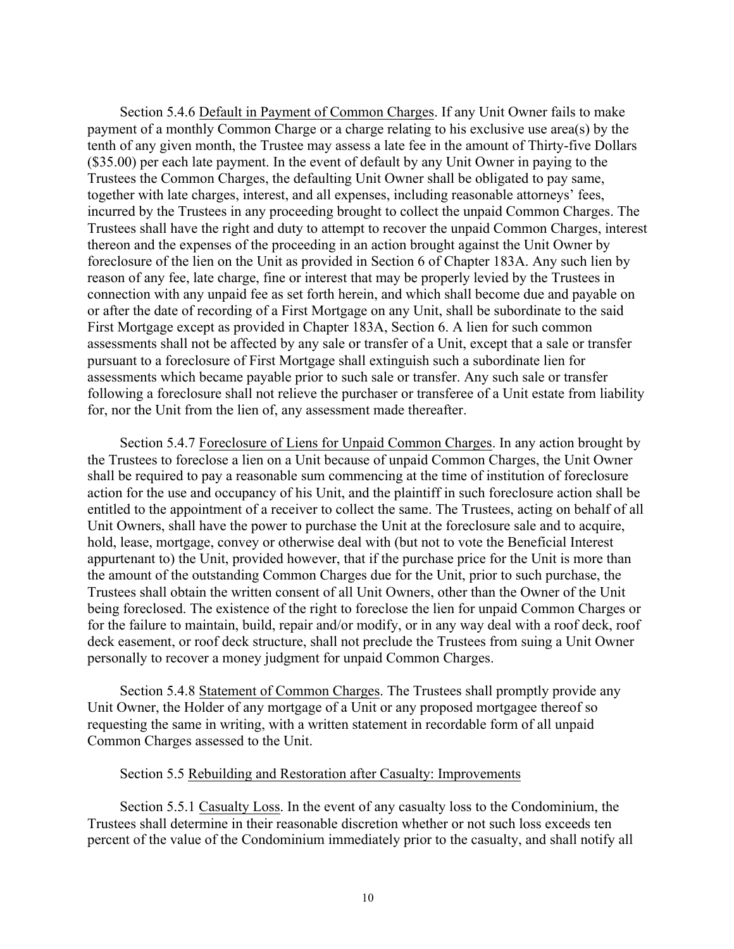Section 5.4.6 Default in Payment of Common Charges. If any Unit Owner fails to make payment of a monthly Common Charge or a charge relating to his exclusive use area(s) by the tenth of any given month, the Trustee may assess a late fee in the amount of Thirty-five Dollars (\$35.00) per each late payment. In the event of default by any Unit Owner in paying to the Trustees the Common Charges, the defaulting Unit Owner shall be obligated to pay same, together with late charges, interest, and all expenses, including reasonable attorneys' fees, incurred by the Trustees in any proceeding brought to collect the unpaid Common Charges. The Trustees shall have the right and duty to attempt to recover the unpaid Common Charges, interest thereon and the expenses of the proceeding in an action brought against the Unit Owner by foreclosure of the lien on the Unit as provided in Section 6 of Chapter 183A. Any such lien by reason of any fee, late charge, fine or interest that may be properly levied by the Trustees in connection with any unpaid fee as set forth herein, and which shall become due and payable on or after the date of recording of a First Mortgage on any Unit, shall be subordinate to the said First Mortgage except as provided in Chapter 183A, Section 6. A lien for such common assessments shall not be affected by any sale or transfer of a Unit, except that a sale or transfer pursuant to a foreclosure of First Mortgage shall extinguish such a subordinate lien for assessments which became payable prior to such sale or transfer. Any such sale or transfer following a foreclosure shall not relieve the purchaser or transferee of a Unit estate from liability for, nor the Unit from the lien of, any assessment made thereafter.

Section 5.4.7 Foreclosure of Liens for Unpaid Common Charges. In any action brought by the Trustees to foreclose a lien on a Unit because of unpaid Common Charges, the Unit Owner shall be required to pay a reasonable sum commencing at the time of institution of foreclosure action for the use and occupancy of his Unit, and the plaintiff in such foreclosure action shall be entitled to the appointment of a receiver to collect the same. The Trustees, acting on behalf of all Unit Owners, shall have the power to purchase the Unit at the foreclosure sale and to acquire, hold, lease, mortgage, convey or otherwise deal with (but not to vote the Beneficial Interest appurtenant to) the Unit, provided however, that if the purchase price for the Unit is more than the amount of the outstanding Common Charges due for the Unit, prior to such purchase, the Trustees shall obtain the written consent of all Unit Owners, other than the Owner of the Unit being foreclosed. The existence of the right to foreclose the lien for unpaid Common Charges or for the failure to maintain, build, repair and/or modify, or in any way deal with a roof deck, roof deck easement, or roof deck structure, shall not preclude the Trustees from suing a Unit Owner personally to recover a money judgment for unpaid Common Charges.

Section 5.4.8 Statement of Common Charges. The Trustees shall promptly provide any Unit Owner, the Holder of any mortgage of a Unit or any proposed mortgagee thereof so requesting the same in writing, with a written statement in recordable form of all unpaid Common Charges assessed to the Unit.

#### Section 5.5 Rebuilding and Restoration after Casualty: Improvements

Section 5.5.1 Casualty Loss. In the event of any casualty loss to the Condominium, the Trustees shall determine in their reasonable discretion whether or not such loss exceeds ten percent of the value of the Condominium immediately prior to the casualty, and shall notify all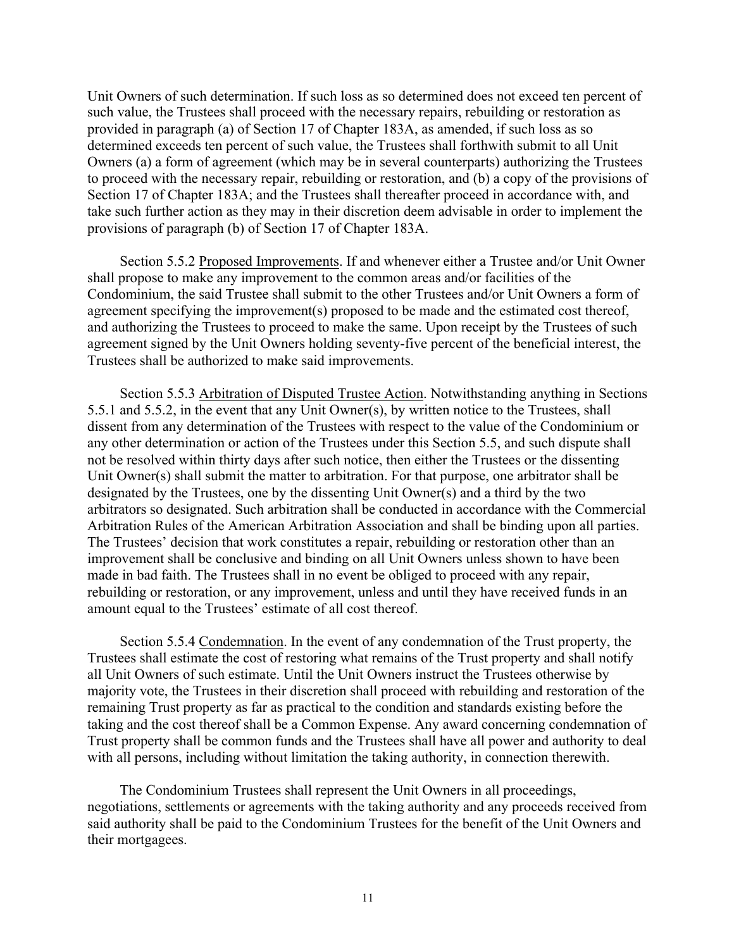Unit Owners of such determination. If such loss as so determined does not exceed ten percent of such value, the Trustees shall proceed with the necessary repairs, rebuilding or restoration as provided in paragraph (a) of Section 17 of Chapter 183A, as amended, if such loss as so determined exceeds ten percent of such value, the Trustees shall forthwith submit to all Unit Owners (a) a form of agreement (which may be in several counterparts) authorizing the Trustees to proceed with the necessary repair, rebuilding or restoration, and (b) a copy of the provisions of Section 17 of Chapter 183A; and the Trustees shall thereafter proceed in accordance with, and take such further action as they may in their discretion deem advisable in order to implement the provisions of paragraph (b) of Section 17 of Chapter 183A.

Section 5.5.2 Proposed Improvements. If and whenever either a Trustee and/or Unit Owner shall propose to make any improvement to the common areas and/or facilities of the Condominium, the said Trustee shall submit to the other Trustees and/or Unit Owners a form of agreement specifying the improvement(s) proposed to be made and the estimated cost thereof, and authorizing the Trustees to proceed to make the same. Upon receipt by the Trustees of such agreement signed by the Unit Owners holding seventy-five percent of the beneficial interest, the Trustees shall be authorized to make said improvements.

Section 5.5.3 Arbitration of Disputed Trustee Action. Notwithstanding anything in Sections 5.5.1 and 5.5.2, in the event that any Unit Owner(s), by written notice to the Trustees, shall dissent from any determination of the Trustees with respect to the value of the Condominium or any other determination or action of the Trustees under this Section 5.5, and such dispute shall not be resolved within thirty days after such notice, then either the Trustees or the dissenting Unit Owner(s) shall submit the matter to arbitration. For that purpose, one arbitrator shall be designated by the Trustees, one by the dissenting Unit Owner(s) and a third by the two arbitrators so designated. Such arbitration shall be conducted in accordance with the Commercial Arbitration Rules of the American Arbitration Association and shall be binding upon all parties. The Trustees' decision that work constitutes a repair, rebuilding or restoration other than an improvement shall be conclusive and binding on all Unit Owners unless shown to have been made in bad faith. The Trustees shall in no event be obliged to proceed with any repair, rebuilding or restoration, or any improvement, unless and until they have received funds in an amount equal to the Trustees' estimate of all cost thereof.

Section 5.5.4 Condemnation. In the event of any condemnation of the Trust property, the Trustees shall estimate the cost of restoring what remains of the Trust property and shall notify all Unit Owners of such estimate. Until the Unit Owners instruct the Trustees otherwise by majority vote, the Trustees in their discretion shall proceed with rebuilding and restoration of the remaining Trust property as far as practical to the condition and standards existing before the taking and the cost thereof shall be a Common Expense. Any award concerning condemnation of Trust property shall be common funds and the Trustees shall have all power and authority to deal with all persons, including without limitation the taking authority, in connection therewith.

The Condominium Trustees shall represent the Unit Owners in all proceedings, negotiations, settlements or agreements with the taking authority and any proceeds received from said authority shall be paid to the Condominium Trustees for the benefit of the Unit Owners and their mortgagees.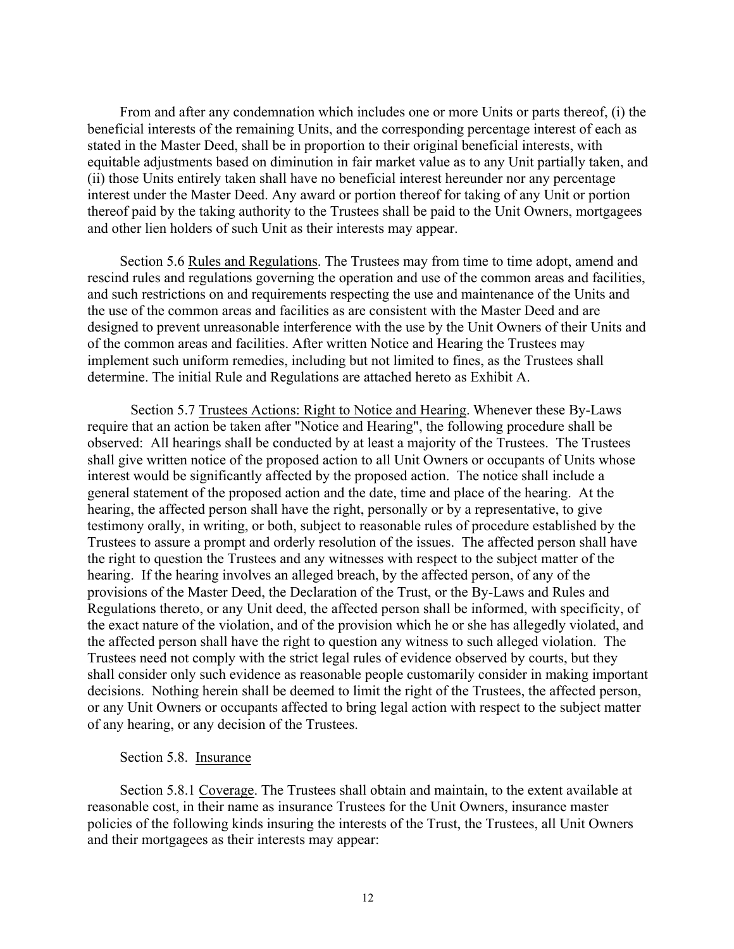From and after any condemnation which includes one or more Units or parts thereof, (i) the beneficial interests of the remaining Units, and the corresponding percentage interest of each as stated in the Master Deed, shall be in proportion to their original beneficial interests, with equitable adjustments based on diminution in fair market value as to any Unit partially taken, and (ii) those Units entirely taken shall have no beneficial interest hereunder nor any percentage interest under the Master Deed. Any award or portion thereof for taking of any Unit or portion thereof paid by the taking authority to the Trustees shall be paid to the Unit Owners, mortgagees and other lien holders of such Unit as their interests may appear.

Section 5.6 Rules and Regulations. The Trustees may from time to time adopt, amend and rescind rules and regulations governing the operation and use of the common areas and facilities, and such restrictions on and requirements respecting the use and maintenance of the Units and the use of the common areas and facilities as are consistent with the Master Deed and are designed to prevent unreasonable interference with the use by the Unit Owners of their Units and of the common areas and facilities. After written Notice and Hearing the Trustees may implement such uniform remedies, including but not limited to fines, as the Trustees shall determine. The initial Rule and Regulations are attached hereto as Exhibit A.

Section 5.7 Trustees Actions: Right to Notice and Hearing. Whenever these By-Laws require that an action be taken after "Notice and Hearing", the following procedure shall be observed: All hearings shall be conducted by at least a majority of the Trustees. The Trustees shall give written notice of the proposed action to all Unit Owners or occupants of Units whose interest would be significantly affected by the proposed action. The notice shall include a general statement of the proposed action and the date, time and place of the hearing. At the hearing, the affected person shall have the right, personally or by a representative, to give testimony orally, in writing, or both, subject to reasonable rules of procedure established by the Trustees to assure a prompt and orderly resolution of the issues. The affected person shall have the right to question the Trustees and any witnesses with respect to the subject matter of the hearing. If the hearing involves an alleged breach, by the affected person, of any of the provisions of the Master Deed, the Declaration of the Trust, or the By-Laws and Rules and Regulations thereto, or any Unit deed, the affected person shall be informed, with specificity, of the exact nature of the violation, and of the provision which he or she has allegedly violated, and the affected person shall have the right to question any witness to such alleged violation. The Trustees need not comply with the strict legal rules of evidence observed by courts, but they shall consider only such evidence as reasonable people customarily consider in making important decisions. Nothing herein shall be deemed to limit the right of the Trustees, the affected person, or any Unit Owners or occupants affected to bring legal action with respect to the subject matter of any hearing, or any decision of the Trustees.

# Section 5.8. Insurance

Section 5.8.1 Coverage. The Trustees shall obtain and maintain, to the extent available at reasonable cost, in their name as insurance Trustees for the Unit Owners, insurance master policies of the following kinds insuring the interests of the Trust, the Trustees, all Unit Owners and their mortgagees as their interests may appear: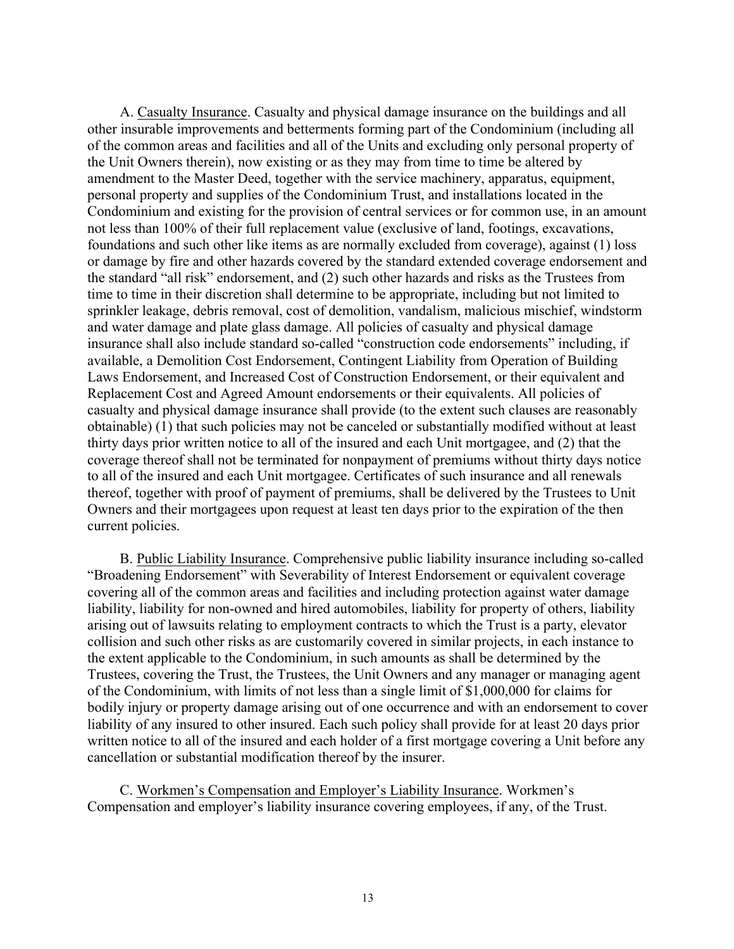A. Casualty Insurance. Casualty and physical damage insurance on the buildings and all other insurable improvements and betterments forming part of the Condominium (including all of the common areas and facilities and all of the Units and excluding only personal property of the Unit Owners therein), now existing or as they may from time to time be altered by amendment to the Master Deed, together with the service machinery, apparatus, equipment, personal property and supplies of the Condominium Trust, and installations located in the Condominium and existing for the provision of central services or for common use, in an amount not less than 100% of their full replacement value (exclusive of land, footings, excavations, foundations and such other like items as are normally excluded from coverage), against (1) loss or damage by fire and other hazards covered by the standard extended coverage endorsement and the standard "all risk" endorsement, and (2) such other hazards and risks as the Trustees from time to time in their discretion shall determine to be appropriate, including but not limited to sprinkler leakage, debris removal, cost of demolition, vandalism, malicious mischief, windstorm and water damage and plate glass damage. All policies of casualty and physical damage insurance shall also include standard so-called "construction code endorsements" including, if available, a Demolition Cost Endorsement, Contingent Liability from Operation of Building Laws Endorsement, and Increased Cost of Construction Endorsement, or their equivalent and Replacement Cost and Agreed Amount endorsements or their equivalents. All policies of casualty and physical damage insurance shall provide (to the extent such clauses are reasonably obtainable) (1) that such policies may not be canceled or substantially modified without at least thirty days prior written notice to all of the insured and each Unit mortgagee, and (2) that the coverage thereof shall not be terminated for nonpayment of premiums without thirty days notice to all of the insured and each Unit mortgagee. Certificates of such insurance and all renewals thereof, together with proof of payment of premiums, shall be delivered by the Trustees to Unit Owners and their mortgagees upon request at least ten days prior to the expiration of the then current policies.

B. Public Liability Insurance. Comprehensive public liability insurance including so-called "Broadening Endorsement" with Severability of Interest Endorsement or equivalent coverage covering all of the common areas and facilities and including protection against water damage liability, liability for non-owned and hired automobiles, liability for property of others, liability arising out of lawsuits relating to employment contracts to which the Trust is a party, elevator collision and such other risks as are customarily covered in similar projects, in each instance to the extent applicable to the Condominium, in such amounts as shall be determined by the Trustees, covering the Trust, the Trustees, the Unit Owners and any manager or managing agent of the Condominium, with limits of not less than a single limit of \$1,000,000 for claims for bodily injury or property damage arising out of one occurrence and with an endorsement to cover liability of any insured to other insured. Each such policy shall provide for at least 20 days prior written notice to all of the insured and each holder of a first mortgage covering a Unit before any cancellation or substantial modification thereof by the insurer.

C. Workmen's Compensation and Employer's Liability Insurance. Workmen's Compensation and employer's liability insurance covering employees, if any, of the Trust.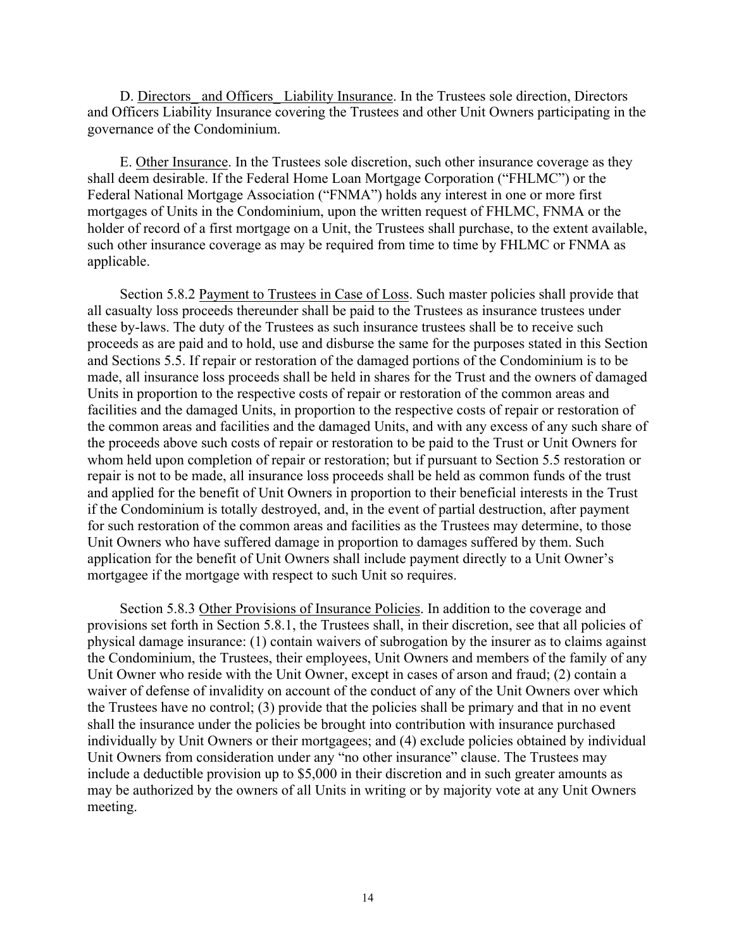D. Directors and Officers Liability Insurance. In the Trustees sole direction, Directors and Officers Liability Insurance covering the Trustees and other Unit Owners participating in the governance of the Condominium.

E. Other Insurance. In the Trustees sole discretion, such other insurance coverage as they shall deem desirable. If the Federal Home Loan Mortgage Corporation ("FHLMC") or the Federal National Mortgage Association ("FNMA") holds any interest in one or more first mortgages of Units in the Condominium, upon the written request of FHLMC, FNMA or the holder of record of a first mortgage on a Unit, the Trustees shall purchase, to the extent available, such other insurance coverage as may be required from time to time by FHLMC or FNMA as applicable.

Section 5.8.2 Payment to Trustees in Case of Loss. Such master policies shall provide that all casualty loss proceeds thereunder shall be paid to the Trustees as insurance trustees under these by-laws. The duty of the Trustees as such insurance trustees shall be to receive such proceeds as are paid and to hold, use and disburse the same for the purposes stated in this Section and Sections 5.5. If repair or restoration of the damaged portions of the Condominium is to be made, all insurance loss proceeds shall be held in shares for the Trust and the owners of damaged Units in proportion to the respective costs of repair or restoration of the common areas and facilities and the damaged Units, in proportion to the respective costs of repair or restoration of the common areas and facilities and the damaged Units, and with any excess of any such share of the proceeds above such costs of repair or restoration to be paid to the Trust or Unit Owners for whom held upon completion of repair or restoration; but if pursuant to Section 5.5 restoration or repair is not to be made, all insurance loss proceeds shall be held as common funds of the trust and applied for the benefit of Unit Owners in proportion to their beneficial interests in the Trust if the Condominium is totally destroyed, and, in the event of partial destruction, after payment for such restoration of the common areas and facilities as the Trustees may determine, to those Unit Owners who have suffered damage in proportion to damages suffered by them. Such application for the benefit of Unit Owners shall include payment directly to a Unit Owner's mortgagee if the mortgage with respect to such Unit so requires.

Section 5.8.3 Other Provisions of Insurance Policies. In addition to the coverage and provisions set forth in Section 5.8.1, the Trustees shall, in their discretion, see that all policies of physical damage insurance: (1) contain waivers of subrogation by the insurer as to claims against the Condominium, the Trustees, their employees, Unit Owners and members of the family of any Unit Owner who reside with the Unit Owner, except in cases of arson and fraud; (2) contain a waiver of defense of invalidity on account of the conduct of any of the Unit Owners over which the Trustees have no control; (3) provide that the policies shall be primary and that in no event shall the insurance under the policies be brought into contribution with insurance purchased individually by Unit Owners or their mortgagees; and (4) exclude policies obtained by individual Unit Owners from consideration under any "no other insurance" clause. The Trustees may include a deductible provision up to \$5,000 in their discretion and in such greater amounts as may be authorized by the owners of all Units in writing or by majority vote at any Unit Owners meeting.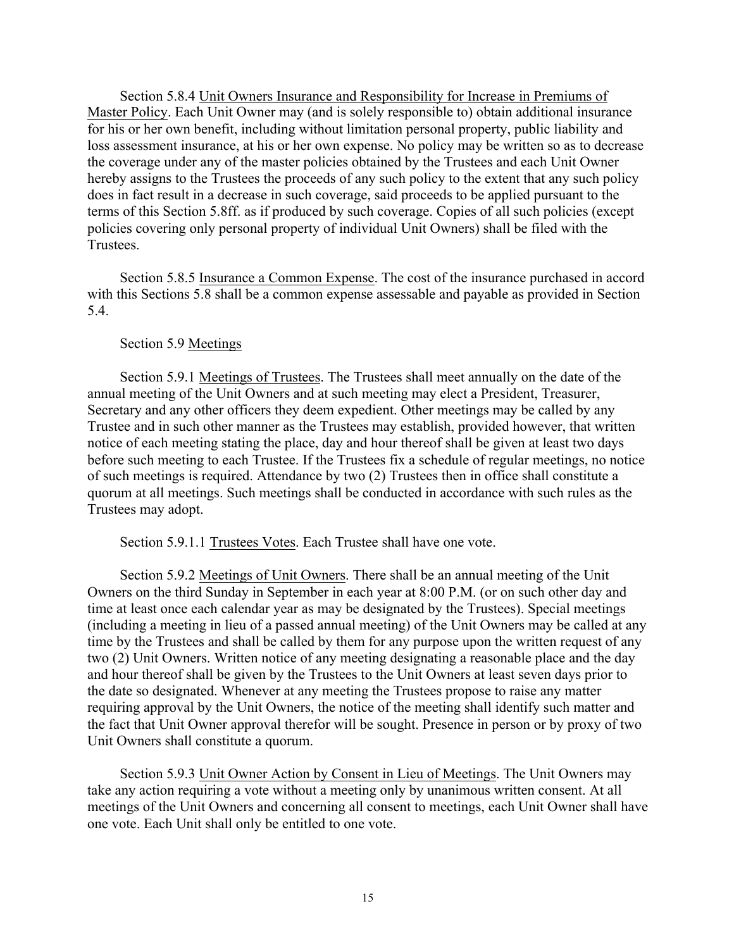Section 5.8.4 Unit Owners Insurance and Responsibility for Increase in Premiums of Master Policy. Each Unit Owner may (and is solely responsible to) obtain additional insurance for his or her own benefit, including without limitation personal property, public liability and loss assessment insurance, at his or her own expense. No policy may be written so as to decrease the coverage under any of the master policies obtained by the Trustees and each Unit Owner hereby assigns to the Trustees the proceeds of any such policy to the extent that any such policy does in fact result in a decrease in such coverage, said proceeds to be applied pursuant to the terms of this Section 5.8ff. as if produced by such coverage. Copies of all such policies (except policies covering only personal property of individual Unit Owners) shall be filed with the Trustees.

Section 5.8.5 Insurance a Common Expense. The cost of the insurance purchased in accord with this Sections 5.8 shall be a common expense assessable and payable as provided in Section 5.4.

### Section 5.9 Meetings

Section 5.9.1 Meetings of Trustees. The Trustees shall meet annually on the date of the annual meeting of the Unit Owners and at such meeting may elect a President, Treasurer, Secretary and any other officers they deem expedient. Other meetings may be called by any Trustee and in such other manner as the Trustees may establish, provided however, that written notice of each meeting stating the place, day and hour thereof shall be given at least two days before such meeting to each Trustee. If the Trustees fix a schedule of regular meetings, no notice of such meetings is required. Attendance by two (2) Trustees then in office shall constitute a quorum at all meetings. Such meetings shall be conducted in accordance with such rules as the Trustees may adopt.

Section 5.9.1.1 Trustees Votes. Each Trustee shall have one vote.

Section 5.9.2 Meetings of Unit Owners. There shall be an annual meeting of the Unit Owners on the third Sunday in September in each year at 8:00 P.M. (or on such other day and time at least once each calendar year as may be designated by the Trustees). Special meetings (including a meeting in lieu of a passed annual meeting) of the Unit Owners may be called at any time by the Trustees and shall be called by them for any purpose upon the written request of any two (2) Unit Owners. Written notice of any meeting designating a reasonable place and the day and hour thereof shall be given by the Trustees to the Unit Owners at least seven days prior to the date so designated. Whenever at any meeting the Trustees propose to raise any matter requiring approval by the Unit Owners, the notice of the meeting shall identify such matter and the fact that Unit Owner approval therefor will be sought. Presence in person or by proxy of two Unit Owners shall constitute a quorum.

Section 5.9.3 Unit Owner Action by Consent in Lieu of Meetings. The Unit Owners may take any action requiring a vote without a meeting only by unanimous written consent. At all meetings of the Unit Owners and concerning all consent to meetings, each Unit Owner shall have one vote. Each Unit shall only be entitled to one vote.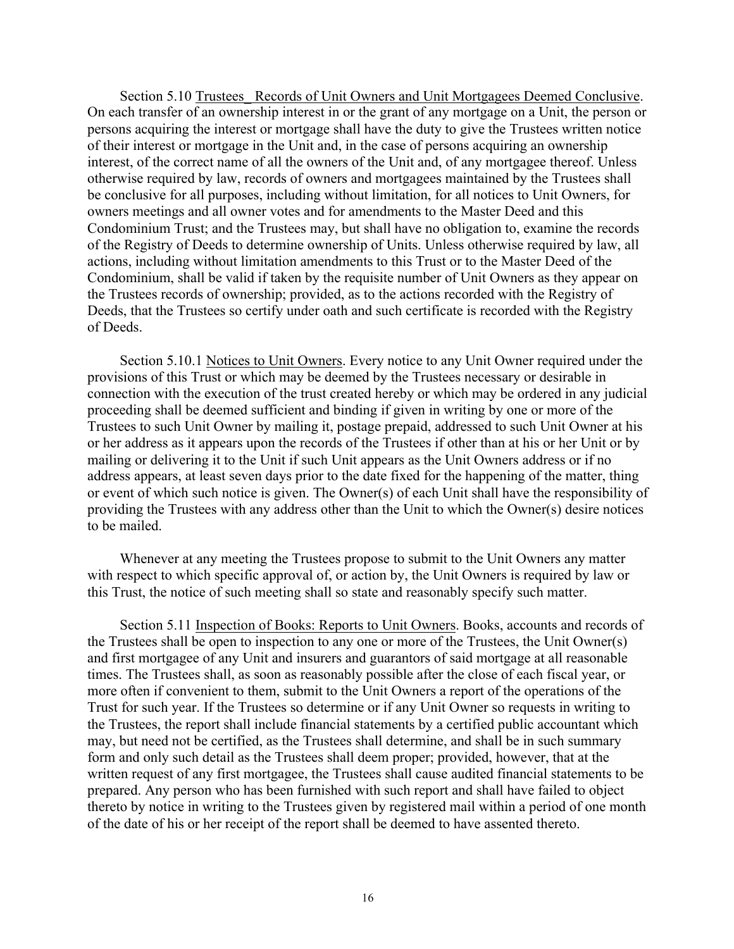Section 5.10 Trustees Records of Unit Owners and Unit Mortgagees Deemed Conclusive. On each transfer of an ownership interest in or the grant of any mortgage on a Unit, the person or persons acquiring the interest or mortgage shall have the duty to give the Trustees written notice of their interest or mortgage in the Unit and, in the case of persons acquiring an ownership interest, of the correct name of all the owners of the Unit and, of any mortgagee thereof. Unless otherwise required by law, records of owners and mortgagees maintained by the Trustees shall be conclusive for all purposes, including without limitation, for all notices to Unit Owners, for owners meetings and all owner votes and for amendments to the Master Deed and this Condominium Trust; and the Trustees may, but shall have no obligation to, examine the records of the Registry of Deeds to determine ownership of Units. Unless otherwise required by law, all actions, including without limitation amendments to this Trust or to the Master Deed of the Condominium, shall be valid if taken by the requisite number of Unit Owners as they appear on the Trustees records of ownership; provided, as to the actions recorded with the Registry of Deeds, that the Trustees so certify under oath and such certificate is recorded with the Registry of Deeds.

Section 5.10.1 Notices to Unit Owners. Every notice to any Unit Owner required under the provisions of this Trust or which may be deemed by the Trustees necessary or desirable in connection with the execution of the trust created hereby or which may be ordered in any judicial proceeding shall be deemed sufficient and binding if given in writing by one or more of the Trustees to such Unit Owner by mailing it, postage prepaid, addressed to such Unit Owner at his or her address as it appears upon the records of the Trustees if other than at his or her Unit or by mailing or delivering it to the Unit if such Unit appears as the Unit Owners address or if no address appears, at least seven days prior to the date fixed for the happening of the matter, thing or event of which such notice is given. The Owner(s) of each Unit shall have the responsibility of providing the Trustees with any address other than the Unit to which the Owner(s) desire notices to be mailed.

Whenever at any meeting the Trustees propose to submit to the Unit Owners any matter with respect to which specific approval of, or action by, the Unit Owners is required by law or this Trust, the notice of such meeting shall so state and reasonably specify such matter.

Section 5.11 Inspection of Books: Reports to Unit Owners. Books, accounts and records of the Trustees shall be open to inspection to any one or more of the Trustees, the Unit Owner(s) and first mortgagee of any Unit and insurers and guarantors of said mortgage at all reasonable times. The Trustees shall, as soon as reasonably possible after the close of each fiscal year, or more often if convenient to them, submit to the Unit Owners a report of the operations of the Trust for such year. If the Trustees so determine or if any Unit Owner so requests in writing to the Trustees, the report shall include financial statements by a certified public accountant which may, but need not be certified, as the Trustees shall determine, and shall be in such summary form and only such detail as the Trustees shall deem proper; provided, however, that at the written request of any first mortgagee, the Trustees shall cause audited financial statements to be prepared. Any person who has been furnished with such report and shall have failed to object thereto by notice in writing to the Trustees given by registered mail within a period of one month of the date of his or her receipt of the report shall be deemed to have assented thereto.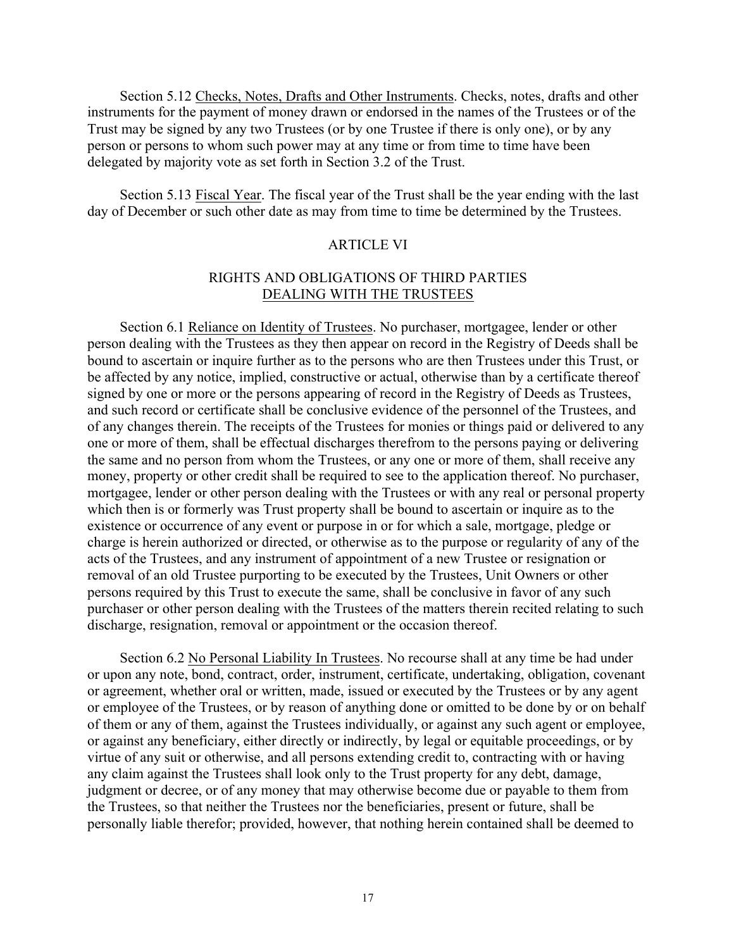Section 5.12 Checks, Notes, Drafts and Other Instruments. Checks, notes, drafts and other instruments for the payment of money drawn or endorsed in the names of the Trustees or of the Trust may be signed by any two Trustees (or by one Trustee if there is only one), or by any person or persons to whom such power may at any time or from time to time have been delegated by majority vote as set forth in Section 3.2 of the Trust.

Section 5.13 Fiscal Year. The fiscal year of the Trust shall be the year ending with the last day of December or such other date as may from time to time be determined by the Trustees.

### **ARTICLE VI**

# RIGHTS AND OBLIGATIONS OF THIRD PARTIES DEALING WITH THE TRUSTEES

Section 6.1 Reliance on Identity of Trustees. No purchaser, mortgagee, lender or other person dealing with the Trustees as they then appear on record in the Registry of Deeds shall be bound to ascertain or inquire further as to the persons who are then Trustees under this Trust, or be affected by any notice, implied, constructive or actual, otherwise than by a certificate thereof signed by one or more or the persons appearing of record in the Registry of Deeds as Trustees, and such record or certificate shall be conclusive evidence of the personnel of the Trustees, and of any changes therein. The receipts of the Trustees for monies or things paid or delivered to any one or more of them, shall be effectual discharges therefrom to the persons paying or delivering the same and no person from whom the Trustees, or any one or more of them, shall receive any money, property or other credit shall be required to see to the application thereof. No purchaser, mortgagee, lender or other person dealing with the Trustees or with any real or personal property which then is or formerly was Trust property shall be bound to ascertain or inquire as to the existence or occurrence of any event or purpose in or for which a sale, mortgage, pledge or charge is herein authorized or directed, or otherwise as to the purpose or regularity of any of the acts of the Trustees, and any instrument of appointment of a new Trustee or resignation or removal of an old Trustee purporting to be executed by the Trustees, Unit Owners or other persons required by this Trust to execute the same, shall be conclusive in favor of any such purchaser or other person dealing with the Trustees of the matters therein recited relating to such discharge, resignation, removal or appointment or the occasion thereof.

Section 6.2 No Personal Liability In Trustees. No recourse shall at any time be had under or upon any note, bond, contract, order, instrument, certificate, undertaking, obligation, covenant or agreement, whether oral or written, made, issued or executed by the Trustees or by any agent or employee of the Trustees, or by reason of anything done or omitted to be done by or on behalf of them or any of them, against the Trustees individually, or against any such agent or employee, or against any beneficiary, either directly or indirectly, by legal or equitable proceedings, or by virtue of any suit or otherwise, and all persons extending credit to, contracting with or having any claim against the Trustees shall look only to the Trust property for any debt, damage, judgment or decree, or of any money that may otherwise become due or payable to them from the Trustees, so that neither the Trustees nor the beneficiaries, present or future, shall be personally liable therefor; provided, however, that nothing herein contained shall be deemed to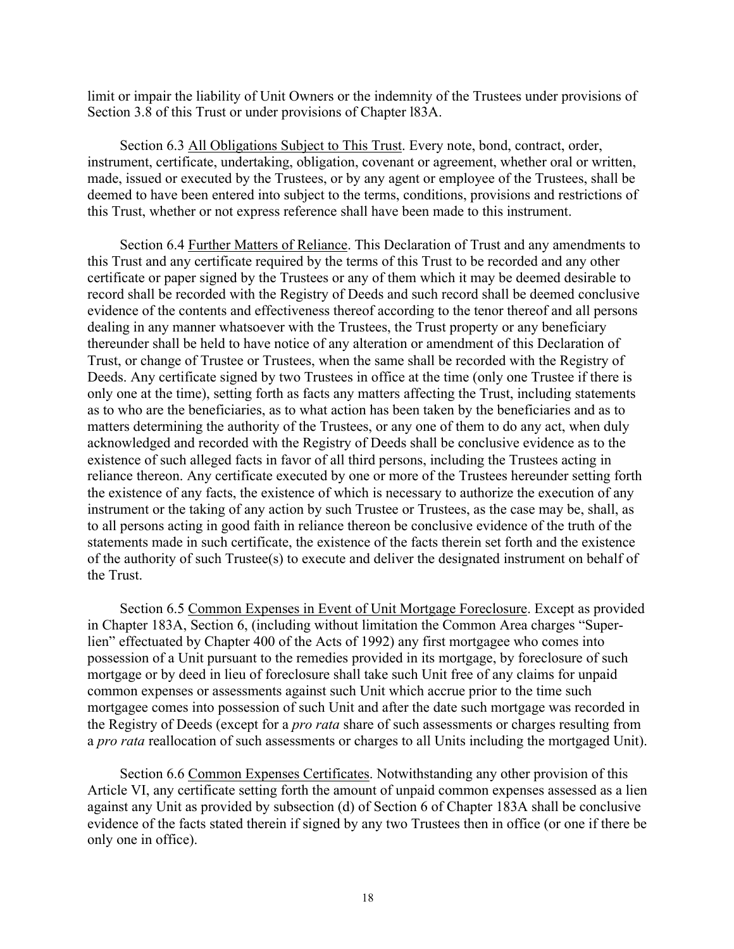limit or impair the liability of Unit Owners or the indemnity of the Trustees under provisions of Section 3.8 of this Trust or under provisions of Chapter l83A.

Section 6.3 All Obligations Subject to This Trust. Every note, bond, contract, order, instrument, certificate, undertaking, obligation, covenant or agreement, whether oral or written, made, issued or executed by the Trustees, or by any agent or employee of the Trustees, shall be deemed to have been entered into subject to the terms, conditions, provisions and restrictions of this Trust, whether or not express reference shall have been made to this instrument.

Section 6.4 Further Matters of Reliance. This Declaration of Trust and any amendments to this Trust and any certificate required by the terms of this Trust to be recorded and any other certificate or paper signed by the Trustees or any of them which it may be deemed desirable to record shall be recorded with the Registry of Deeds and such record shall be deemed conclusive evidence of the contents and effectiveness thereof according to the tenor thereof and all persons dealing in any manner whatsoever with the Trustees, the Trust property or any beneficiary thereunder shall be held to have notice of any alteration or amendment of this Declaration of Trust, or change of Trustee or Trustees, when the same shall be recorded with the Registry of Deeds. Any certificate signed by two Trustees in office at the time (only one Trustee if there is only one at the time), setting forth as facts any matters affecting the Trust, including statements as to who are the beneficiaries, as to what action has been taken by the beneficiaries and as to matters determining the authority of the Trustees, or any one of them to do any act, when duly acknowledged and recorded with the Registry of Deeds shall be conclusive evidence as to the existence of such alleged facts in favor of all third persons, including the Trustees acting in reliance thereon. Any certificate executed by one or more of the Trustees hereunder setting forth the existence of any facts, the existence of which is necessary to authorize the execution of any instrument or the taking of any action by such Trustee or Trustees, as the case may be, shall, as to all persons acting in good faith in reliance thereon be conclusive evidence of the truth of the statements made in such certificate, the existence of the facts therein set forth and the existence of the authority of such Trustee(s) to execute and deliver the designated instrument on behalf of the Trust.

Section 6.5 Common Expenses in Event of Unit Mortgage Foreclosure. Except as provided in Chapter 183A, Section 6, (including without limitation the Common Area charges "Superlien" effectuated by Chapter 400 of the Acts of 1992) any first mortgagee who comes into possession of a Unit pursuant to the remedies provided in its mortgage, by foreclosure of such mortgage or by deed in lieu of foreclosure shall take such Unit free of any claims for unpaid common expenses or assessments against such Unit which accrue prior to the time such mortgagee comes into possession of such Unit and after the date such mortgage was recorded in the Registry of Deeds (except for a *pro rata* share of such assessments or charges resulting from a *pro rata* reallocation of such assessments or charges to all Units including the mortgaged Unit).

Section 6.6 Common Expenses Certificates. Notwithstanding any other provision of this Article VI, any certificate setting forth the amount of unpaid common expenses assessed as a lien against any Unit as provided by subsection (d) of Section 6 of Chapter 183A shall be conclusive evidence of the facts stated therein if signed by any two Trustees then in office (or one if there be only one in office).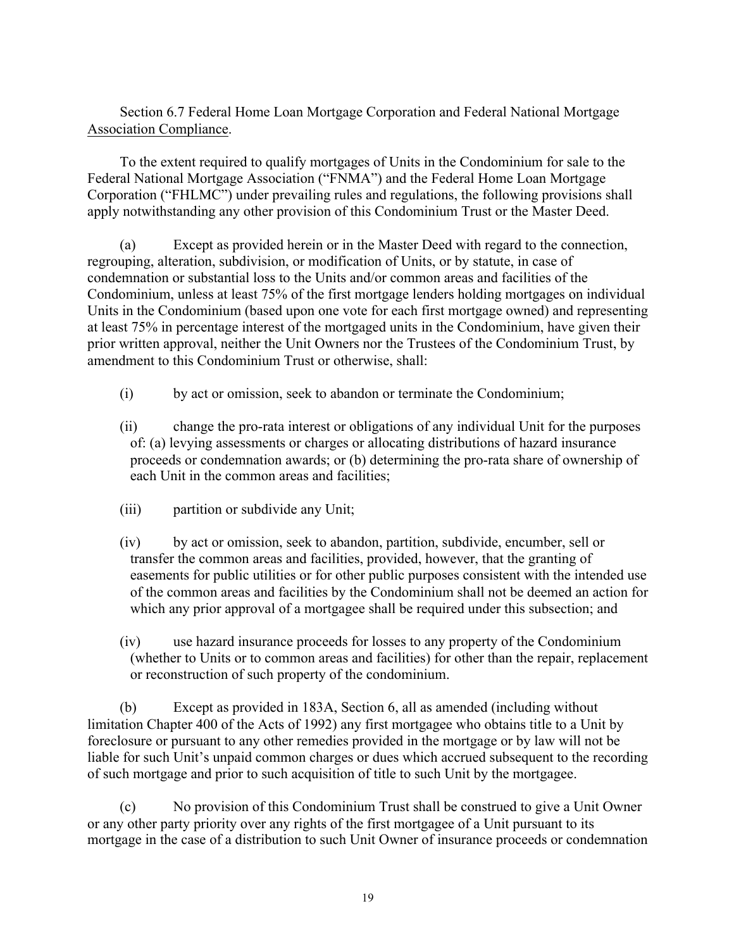Section 6.7 Federal Home Loan Mortgage Corporation and Federal National Mortgage Association Compliance.

To the extent required to qualify mortgages of Units in the Condominium for sale to the Federal National Mortgage Association ("FNMA") and the Federal Home Loan Mortgage Corporation ("FHLMC") under prevailing rules and regulations, the following provisions shall apply notwithstanding any other provision of this Condominium Trust or the Master Deed.

(a) Except as provided herein or in the Master Deed with regard to the connection, regrouping, alteration, subdivision, or modification of Units, or by statute, in case of condemnation or substantial loss to the Units and/or common areas and facilities of the Condominium, unless at least 75% of the first mortgage lenders holding mortgages on individual Units in the Condominium (based upon one vote for each first mortgage owned) and representing at least 75% in percentage interest of the mortgaged units in the Condominium, have given their prior written approval, neither the Unit Owners nor the Trustees of the Condominium Trust, by amendment to this Condominium Trust or otherwise, shall:

(i) by act or omission, seek to abandon or terminate the Condominium;

(ii) change the pro-rata interest or obligations of any individual Unit for the purposes of: (a) levying assessments or charges or allocating distributions of hazard insurance proceeds or condemnation awards; or (b) determining the pro-rata share of ownership of each Unit in the common areas and facilities;

- (iii) partition or subdivide any Unit;
- (iv) by act or omission, seek to abandon, partition, subdivide, encumber, sell or transfer the common areas and facilities, provided, however, that the granting of easements for public utilities or for other public purposes consistent with the intended use of the common areas and facilities by the Condominium shall not be deemed an action for which any prior approval of a mortgagee shall be required under this subsection; and
- (iv) use hazard insurance proceeds for losses to any property of the Condominium (whether to Units or to common areas and facilities) for other than the repair, replacement or reconstruction of such property of the condominium.

(b) Except as provided in 183A, Section 6, all as amended (including without limitation Chapter 400 of the Acts of 1992) any first mortgagee who obtains title to a Unit by foreclosure or pursuant to any other remedies provided in the mortgage or by law will not be liable for such Unit's unpaid common charges or dues which accrued subsequent to the recording of such mortgage and prior to such acquisition of title to such Unit by the mortgagee.

(c) No provision of this Condominium Trust shall be construed to give a Unit Owner or any other party priority over any rights of the first mortgagee of a Unit pursuant to its mortgage in the case of a distribution to such Unit Owner of insurance proceeds or condemnation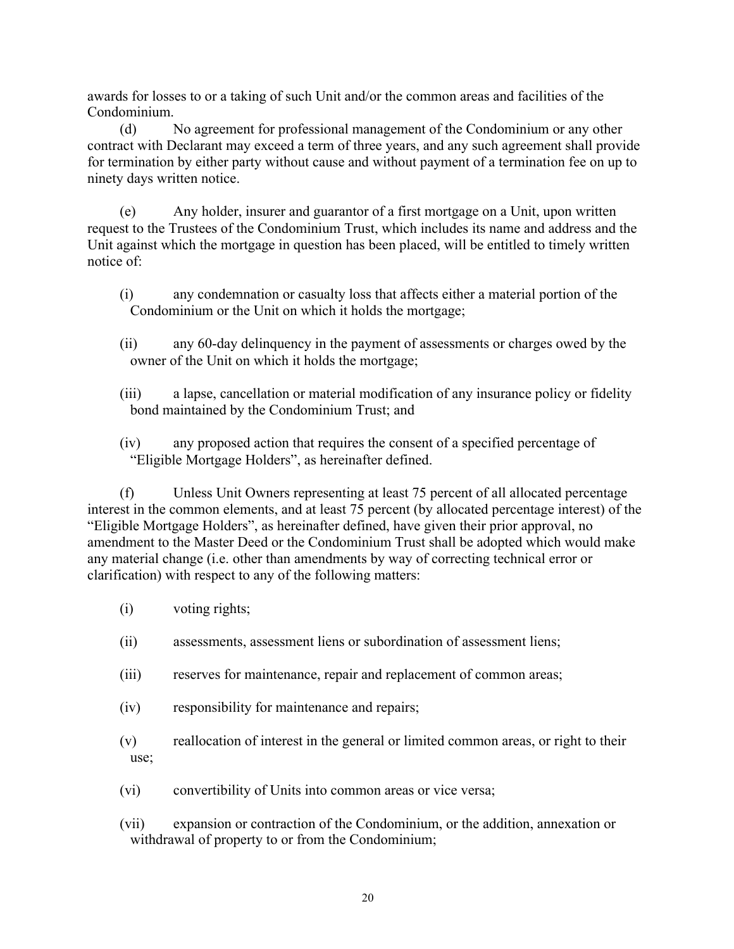awards for losses to or a taking of such Unit and/or the common areas and facilities of the Condominium.

(d) No agreement for professional management of the Condominium or any other contract with Declarant may exceed a term of three years, and any such agreement shall provide for termination by either party without cause and without payment of a termination fee on up to ninety days written notice.

(e) Any holder, insurer and guarantor of a first mortgage on a Unit, upon written request to the Trustees of the Condominium Trust, which includes its name and address and the Unit against which the mortgage in question has been placed, will be entitled to timely written notice of:

- (i) any condemnation or casualty loss that affects either a material portion of the Condominium or the Unit on which it holds the mortgage;
- (ii) any 60-day delinquency in the payment of assessments or charges owed by the owner of the Unit on which it holds the mortgage;
- (iii) a lapse, cancellation or material modification of any insurance policy or fidelity bond maintained by the Condominium Trust; and
- (iv) any proposed action that requires the consent of a specified percentage of "Eligible Mortgage Holders", as hereinafter defined.

(f) Unless Unit Owners representing at least 75 percent of all allocated percentage interest in the common elements, and at least 75 percent (by allocated percentage interest) of the "Eligible Mortgage Holders", as hereinafter defined, have given their prior approval, no amendment to the Master Deed or the Condominium Trust shall be adopted which would make any material change (i.e. other than amendments by way of correcting technical error or clarification) with respect to any of the following matters:

- (i) voting rights;
- (ii) assessments, assessment liens or subordination of assessment liens;
- (iii) reserves for maintenance, repair and replacement of common areas;
- (iv) responsibility for maintenance and repairs;
- (v) reallocation of interest in the general or limited common areas, or right to their use;
- (vi) convertibility of Units into common areas or vice versa;

(vii) expansion or contraction of the Condominium, or the addition, annexation or withdrawal of property to or from the Condominium;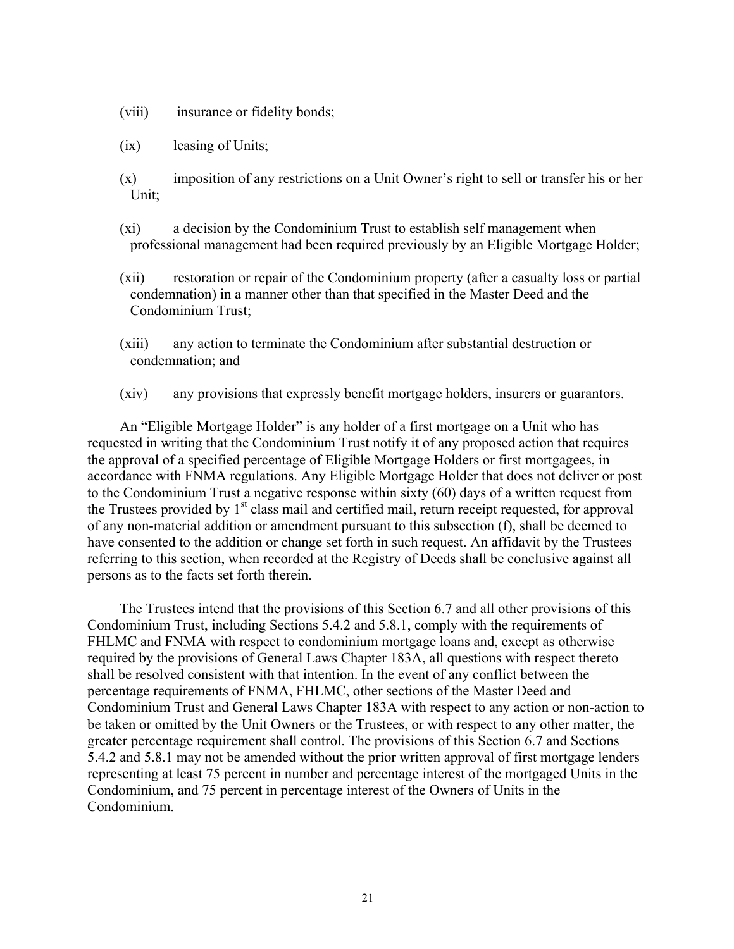- (viii) insurance or fidelity bonds;
- (ix) leasing of Units;
- (x) imposition of any restrictions on a Unit Owner's right to sell or transfer his or her Unit;
- (xi) a decision by the Condominium Trust to establish self management when professional management had been required previously by an Eligible Mortgage Holder;
- (xii) restoration or repair of the Condominium property (after a casualty loss or partial condemnation) in a manner other than that specified in the Master Deed and the Condominium Trust;
- (xiii) any action to terminate the Condominium after substantial destruction or condemnation; and
- (xiv) any provisions that expressly benefit mortgage holders, insurers or guarantors.

An "Eligible Mortgage Holder" is any holder of a first mortgage on a Unit who has requested in writing that the Condominium Trust notify it of any proposed action that requires the approval of a specified percentage of Eligible Mortgage Holders or first mortgagees, in accordance with FNMA regulations. Any Eligible Mortgage Holder that does not deliver or post to the Condominium Trust a negative response within sixty (60) days of a written request from the Trustees provided by  $1<sup>st</sup>$  class mail and certified mail, return receipt requested, for approval of any non-material addition or amendment pursuant to this subsection (f), shall be deemed to have consented to the addition or change set forth in such request. An affidavit by the Trustees referring to this section, when recorded at the Registry of Deeds shall be conclusive against all persons as to the facts set forth therein.

The Trustees intend that the provisions of this Section 6.7 and all other provisions of this Condominium Trust, including Sections 5.4.2 and 5.8.1, comply with the requirements of FHLMC and FNMA with respect to condominium mortgage loans and, except as otherwise required by the provisions of General Laws Chapter 183A, all questions with respect thereto shall be resolved consistent with that intention. In the event of any conflict between the percentage requirements of FNMA, FHLMC, other sections of the Master Deed and Condominium Trust and General Laws Chapter 183A with respect to any action or non-action to be taken or omitted by the Unit Owners or the Trustees, or with respect to any other matter, the greater percentage requirement shall control. The provisions of this Section 6.7 and Sections 5.4.2 and 5.8.1 may not be amended without the prior written approval of first mortgage lenders representing at least 75 percent in number and percentage interest of the mortgaged Units in the Condominium, and 75 percent in percentage interest of the Owners of Units in the Condominium.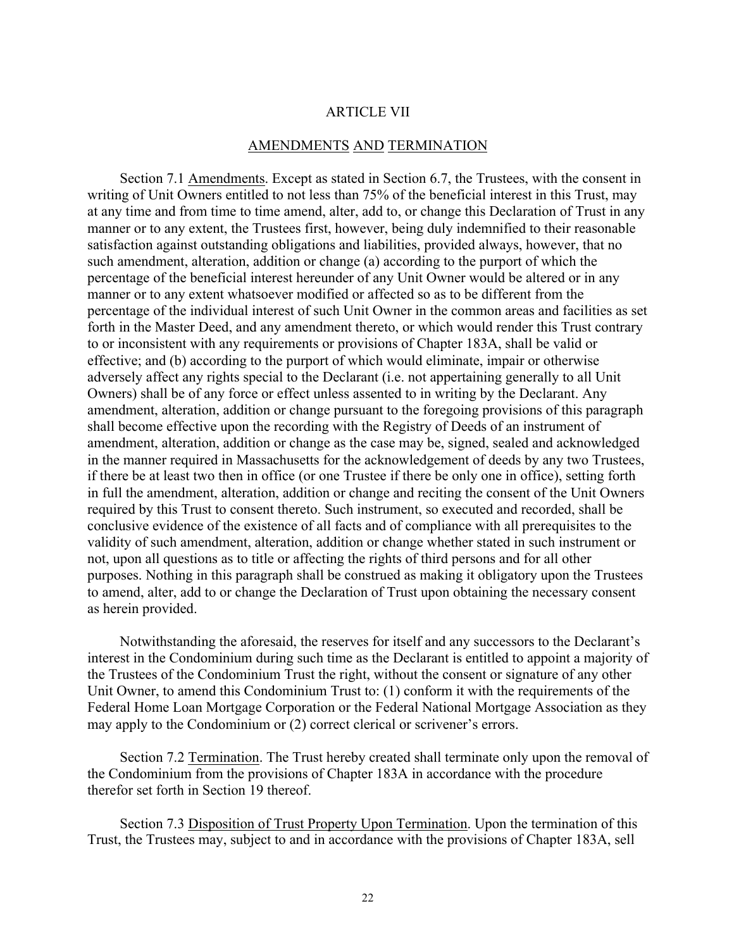# ARTICLE VII

### AMENDMENTS AND TERMINATION

Section 7.1 Amendments. Except as stated in Section 6.7, the Trustees, with the consent in writing of Unit Owners entitled to not less than 75% of the beneficial interest in this Trust, may at any time and from time to time amend, alter, add to, or change this Declaration of Trust in any manner or to any extent, the Trustees first, however, being duly indemnified to their reasonable satisfaction against outstanding obligations and liabilities, provided always, however, that no such amendment, alteration, addition or change (a) according to the purport of which the percentage of the beneficial interest hereunder of any Unit Owner would be altered or in any manner or to any extent whatsoever modified or affected so as to be different from the percentage of the individual interest of such Unit Owner in the common areas and facilities as set forth in the Master Deed, and any amendment thereto, or which would render this Trust contrary to or inconsistent with any requirements or provisions of Chapter 183A, shall be valid or effective; and (b) according to the purport of which would eliminate, impair or otherwise adversely affect any rights special to the Declarant (i.e. not appertaining generally to all Unit Owners) shall be of any force or effect unless assented to in writing by the Declarant. Any amendment, alteration, addition or change pursuant to the foregoing provisions of this paragraph shall become effective upon the recording with the Registry of Deeds of an instrument of amendment, alteration, addition or change as the case may be, signed, sealed and acknowledged in the manner required in Massachusetts for the acknowledgement of deeds by any two Trustees, if there be at least two then in office (or one Trustee if there be only one in office), setting forth in full the amendment, alteration, addition or change and reciting the consent of the Unit Owners required by this Trust to consent thereto. Such instrument, so executed and recorded, shall be conclusive evidence of the existence of all facts and of compliance with all prerequisites to the validity of such amendment, alteration, addition or change whether stated in such instrument or not, upon all questions as to title or affecting the rights of third persons and for all other purposes. Nothing in this paragraph shall be construed as making it obligatory upon the Trustees to amend, alter, add to or change the Declaration of Trust upon obtaining the necessary consent as herein provided.

Notwithstanding the aforesaid, the reserves for itself and any successors to the Declarant's interest in the Condominium during such time as the Declarant is entitled to appoint a majority of the Trustees of the Condominium Trust the right, without the consent or signature of any other Unit Owner, to amend this Condominium Trust to: (1) conform it with the requirements of the Federal Home Loan Mortgage Corporation or the Federal National Mortgage Association as they may apply to the Condominium or (2) correct clerical or scrivener's errors.

Section 7.2 Termination. The Trust hereby created shall terminate only upon the removal of the Condominium from the provisions of Chapter 183A in accordance with the procedure therefor set forth in Section 19 thereof.

Section 7.3 Disposition of Trust Property Upon Termination. Upon the termination of this Trust, the Trustees may, subject to and in accordance with the provisions of Chapter 183A, sell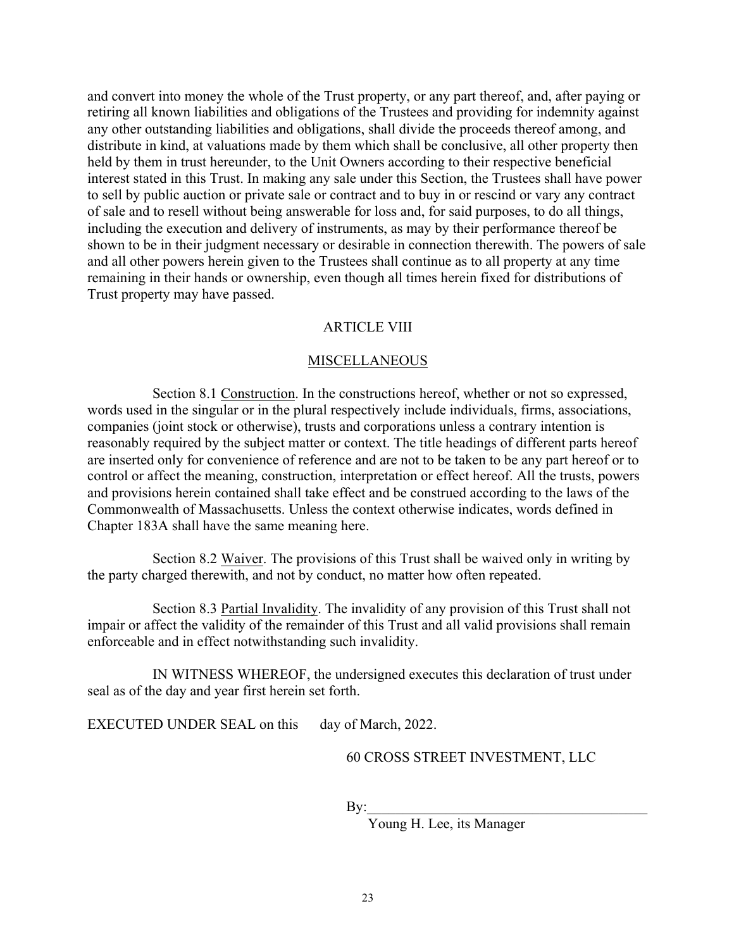and convert into money the whole of the Trust property, or any part thereof, and, after paying or retiring all known liabilities and obligations of the Trustees and providing for indemnity against any other outstanding liabilities and obligations, shall divide the proceeds thereof among, and distribute in kind, at valuations made by them which shall be conclusive, all other property then held by them in trust hereunder, to the Unit Owners according to their respective beneficial interest stated in this Trust. In making any sale under this Section, the Trustees shall have power to sell by public auction or private sale or contract and to buy in or rescind or vary any contract of sale and to resell without being answerable for loss and, for said purposes, to do all things, including the execution and delivery of instruments, as may by their performance thereof be shown to be in their judgment necessary or desirable in connection therewith. The powers of sale and all other powers herein given to the Trustees shall continue as to all property at any time remaining in their hands or ownership, even though all times herein fixed for distributions of Trust property may have passed.

#### ARTICLE VIII

#### MISCELLANEOUS

Section 8.1 Construction. In the constructions hereof, whether or not so expressed, words used in the singular or in the plural respectively include individuals, firms, associations, companies (joint stock or otherwise), trusts and corporations unless a contrary intention is reasonably required by the subject matter or context. The title headings of different parts hereof are inserted only for convenience of reference and are not to be taken to be any part hereof or to control or affect the meaning, construction, interpretation or effect hereof. All the trusts, powers and provisions herein contained shall take effect and be construed according to the laws of the Commonwealth of Massachusetts. Unless the context otherwise indicates, words defined in Chapter 183A shall have the same meaning here.

Section 8.2 Waiver. The provisions of this Trust shall be waived only in writing by the party charged therewith, and not by conduct, no matter how often repeated.

Section 8.3 Partial Invalidity. The invalidity of any provision of this Trust shall not impair or affect the validity of the remainder of this Trust and all valid provisions shall remain enforceable and in effect notwithstanding such invalidity.

IN WITNESS WHEREOF, the undersigned executes this declaration of trust under seal as of the day and year first herein set forth.

EXECUTED UNDER SEAL on this day of March, 2022.

60 CROSS STREET INVESTMENT, LLC

 $\mathbf{By:}$ 

Young H. Lee, its Manager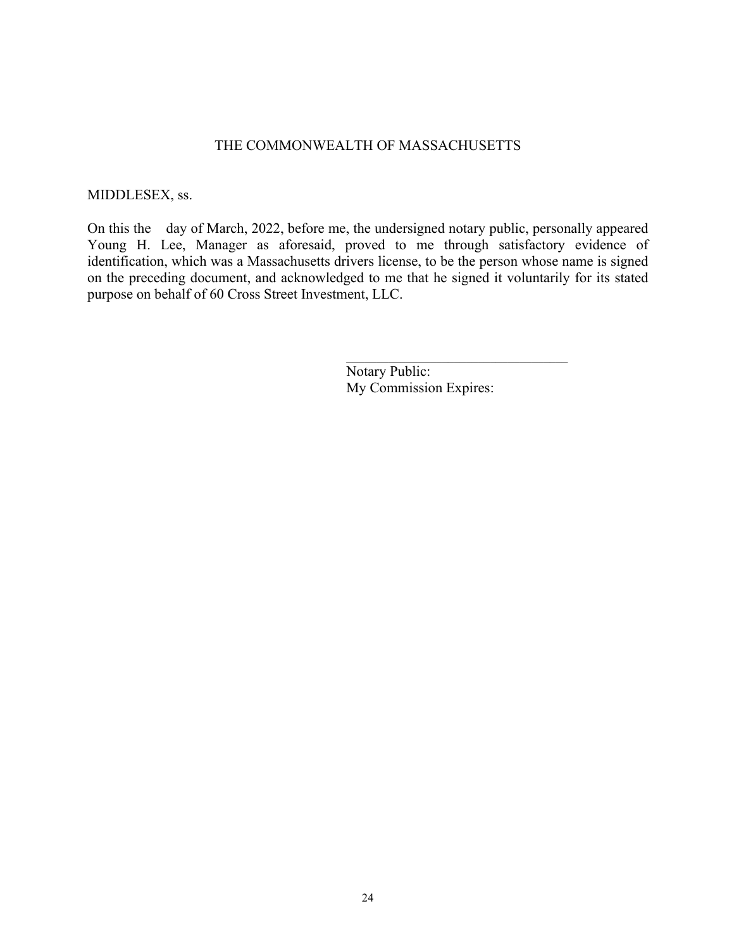### THE COMMONWEALTH OF MASSACHUSETTS

### MIDDLESEX, ss.

On this the day of March, 2022, before me, the undersigned notary public, personally appeared Young H. Lee, Manager as aforesaid, proved to me through satisfactory evidence of identification, which was a Massachusetts drivers license, to be the person whose name is signed on the preceding document, and acknowledged to me that he signed it voluntarily for its stated purpose on behalf of 60 Cross Street Investment, LLC.

> Notary Public: My Commission Expires: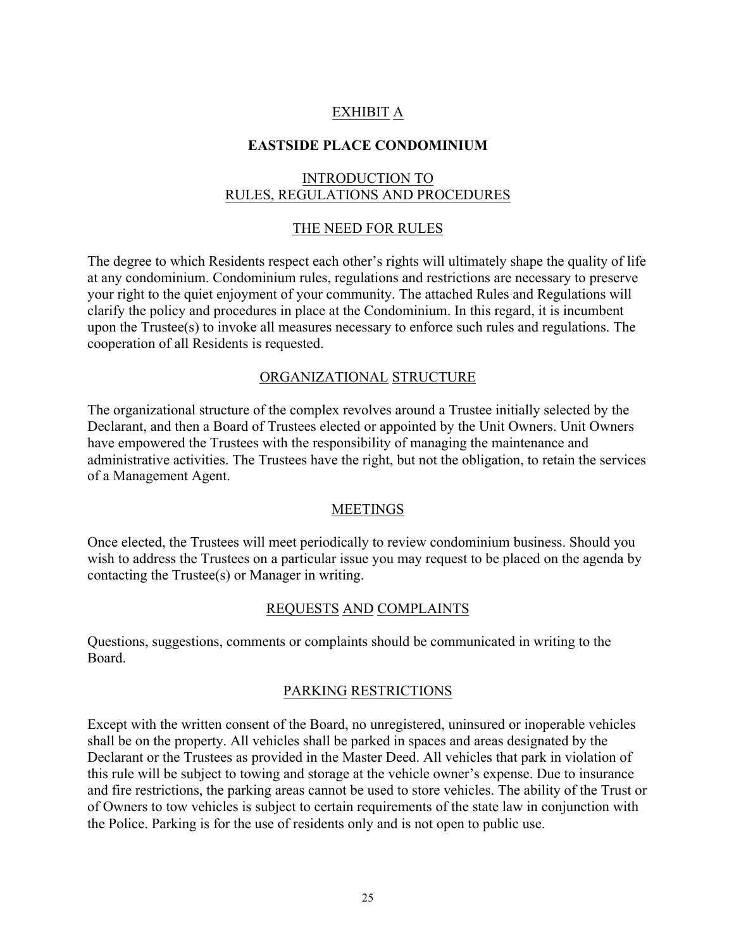# EXHIBIT A

# **EASTSIDE PLACE CONDOMINIUM**

# INTRODUCTION TO RULES, REGULATIONS AND PROCEDURES

# THE NEED FOR RULES

The degree to which Residents respect each other's rights will ultimately shape the quality of life at any condominium. Condominium rules, regulations and restrictions are necessary to preserve your right to the quiet enjoyment of your community. The attached Rules and Regulations will clarify the policy and procedures in place at the Condominium. In this regard, it is incumbent upon the Trustee(s) to invoke all measures necessary to enforce such rules and regulations. The cooperation of all Residents is requested.

# ORGANIZATIONAL STRUCTURE

The organizational structure of the complex revolves around a Trustee initially selected by the Declarant, and then a Board of Trustees elected or appointed by the Unit Owners. Unit Owners have empowered the Trustees with the responsibility of managing the maintenance and administrative activities. The Trustees have the right, but not the obligation, to retain the services of a Management Agent.

### MEETINGS

Once elected, the Trustees will meet periodically to review condominium business. Should you wish to address the Trustees on a particular issue you may request to be placed on the agenda by contacting the Trustee(s) or Manager in writing.

# REQUESTS AND COMPLAINTS

Questions, suggestions, comments or complaints should be communicated in writing to the Board.

# PARKING RESTRICTIONS

Except with the written consent of the Board, no unregistered, uninsured or inoperable vehicles shall be on the property. All vehicles shall be parked in spaces and areas designated by the Declarant or the Trustees as provided in the Master Deed. All vehicles that park in violation of this rule will be subject to towing and storage at the vehicle owner's expense. Due to insurance and fire restrictions, the parking areas cannot be used to store vehicles. The ability of the Trust or of Owners to tow vehicles is subject to certain requirements of the state law in conjunction with the Police. Parking is for the use of residents only and is not open to public use.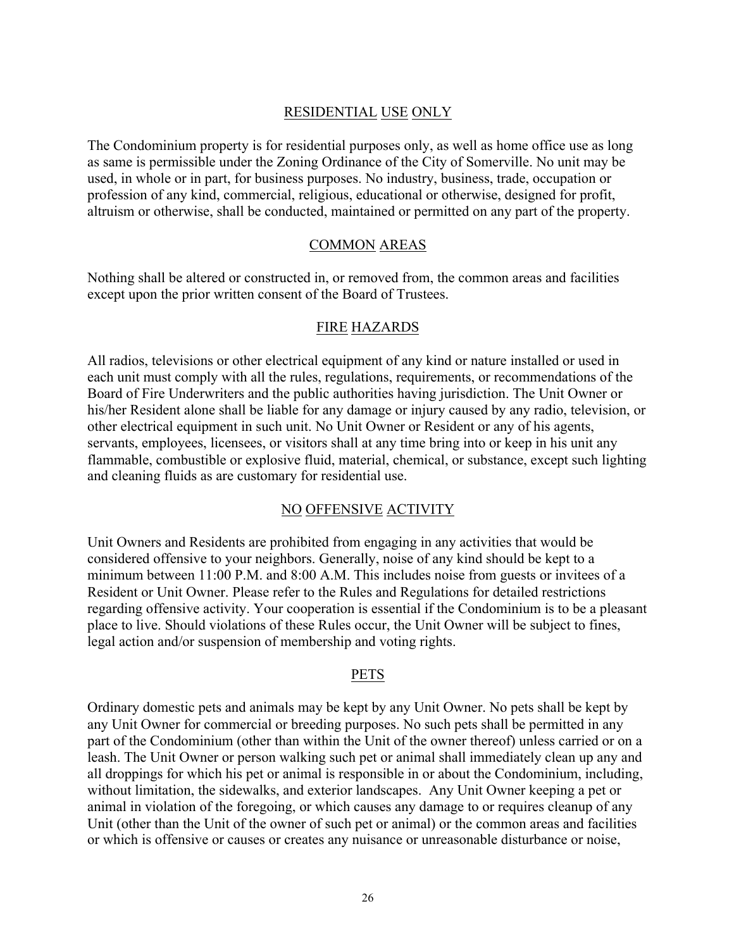# RESIDENTIAL USE ONLY

The Condominium property is for residential purposes only, as well as home office use as long as same is permissible under the Zoning Ordinance of the City of Somerville. No unit may be used, in whole or in part, for business purposes. No industry, business, trade, occupation or profession of any kind, commercial, religious, educational or otherwise, designed for profit, altruism or otherwise, shall be conducted, maintained or permitted on any part of the property.

# COMMON AREAS

Nothing shall be altered or constructed in, or removed from, the common areas and facilities except upon the prior written consent of the Board of Trustees.

### FIRE HAZARDS

All radios, televisions or other electrical equipment of any kind or nature installed or used in each unit must comply with all the rules, regulations, requirements, or recommendations of the Board of Fire Underwriters and the public authorities having jurisdiction. The Unit Owner or his/her Resident alone shall be liable for any damage or injury caused by any radio, television, or other electrical equipment in such unit. No Unit Owner or Resident or any of his agents, servants, employees, licensees, or visitors shall at any time bring into or keep in his unit any flammable, combustible or explosive fluid, material, chemical, or substance, except such lighting and cleaning fluids as are customary for residential use.

### NO OFFENSIVE ACTIVITY

Unit Owners and Residents are prohibited from engaging in any activities that would be considered offensive to your neighbors. Generally, noise of any kind should be kept to a minimum between 11:00 P.M. and 8:00 A.M. This includes noise from guests or invitees of a Resident or Unit Owner. Please refer to the Rules and Regulations for detailed restrictions regarding offensive activity. Your cooperation is essential if the Condominium is to be a pleasant place to live. Should violations of these Rules occur, the Unit Owner will be subject to fines, legal action and/or suspension of membership and voting rights.

### PETS

Ordinary domestic pets and animals may be kept by any Unit Owner. No pets shall be kept by any Unit Owner for commercial or breeding purposes. No such pets shall be permitted in any part of the Condominium (other than within the Unit of the owner thereof) unless carried or on a leash. The Unit Owner or person walking such pet or animal shall immediately clean up any and all droppings for which his pet or animal is responsible in or about the Condominium, including, without limitation, the sidewalks, and exterior landscapes. Any Unit Owner keeping a pet or animal in violation of the foregoing, or which causes any damage to or requires cleanup of any Unit (other than the Unit of the owner of such pet or animal) or the common areas and facilities or which is offensive or causes or creates any nuisance or unreasonable disturbance or noise,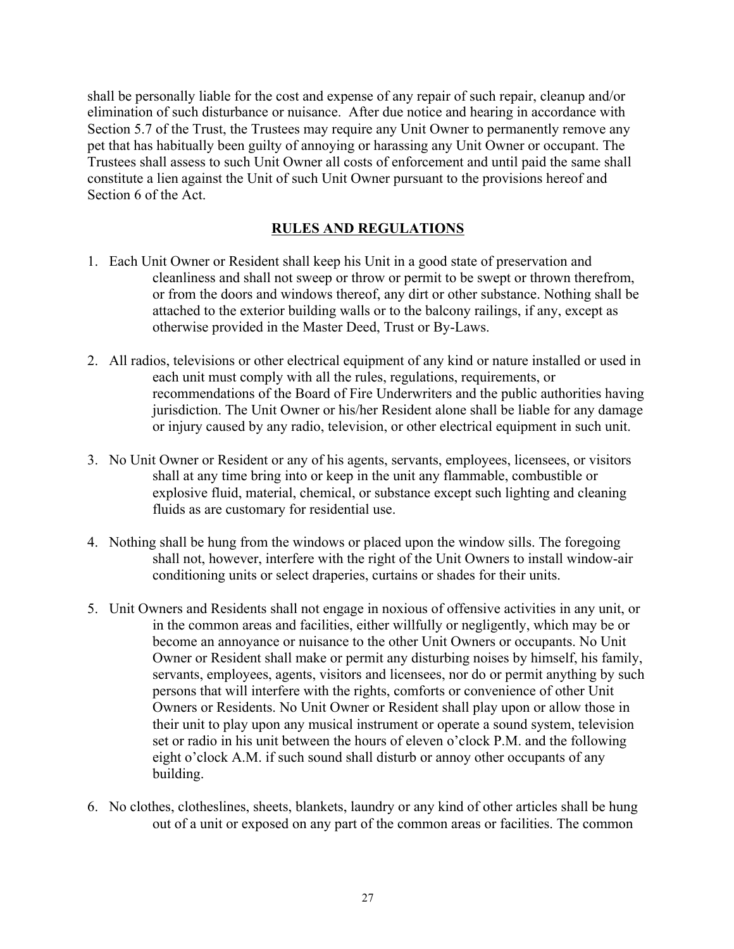shall be personally liable for the cost and expense of any repair of such repair, cleanup and/or elimination of such disturbance or nuisance. After due notice and hearing in accordance with Section 5.7 of the Trust, the Trustees may require any Unit Owner to permanently remove any pet that has habitually been guilty of annoying or harassing any Unit Owner or occupant. The Trustees shall assess to such Unit Owner all costs of enforcement and until paid the same shall constitute a lien against the Unit of such Unit Owner pursuant to the provisions hereof and Section 6 of the Act.

# **RULES AND REGULATIONS**

- 1. Each Unit Owner or Resident shall keep his Unit in a good state of preservation and cleanliness and shall not sweep or throw or permit to be swept or thrown therefrom, or from the doors and windows thereof, any dirt or other substance. Nothing shall be attached to the exterior building walls or to the balcony railings, if any, except as otherwise provided in the Master Deed, Trust or By-Laws.
- 2. All radios, televisions or other electrical equipment of any kind or nature installed or used in each unit must comply with all the rules, regulations, requirements, or recommendations of the Board of Fire Underwriters and the public authorities having jurisdiction. The Unit Owner or his/her Resident alone shall be liable for any damage or injury caused by any radio, television, or other electrical equipment in such unit.
- 3. No Unit Owner or Resident or any of his agents, servants, employees, licensees, or visitors shall at any time bring into or keep in the unit any flammable, combustible or explosive fluid, material, chemical, or substance except such lighting and cleaning fluids as are customary for residential use.
- 4. Nothing shall be hung from the windows or placed upon the window sills. The foregoing shall not, however, interfere with the right of the Unit Owners to install window-air conditioning units or select draperies, curtains or shades for their units.
- 5. Unit Owners and Residents shall not engage in noxious of offensive activities in any unit, or in the common areas and facilities, either willfully or negligently, which may be or become an annoyance or nuisance to the other Unit Owners or occupants. No Unit Owner or Resident shall make or permit any disturbing noises by himself, his family, servants, employees, agents, visitors and licensees, nor do or permit anything by such persons that will interfere with the rights, comforts or convenience of other Unit Owners or Residents. No Unit Owner or Resident shall play upon or allow those in their unit to play upon any musical instrument or operate a sound system, television set or radio in his unit between the hours of eleven o'clock P.M. and the following eight o'clock A.M. if such sound shall disturb or annoy other occupants of any building.
- 6. No clothes, clotheslines, sheets, blankets, laundry or any kind of other articles shall be hung out of a unit or exposed on any part of the common areas or facilities. The common